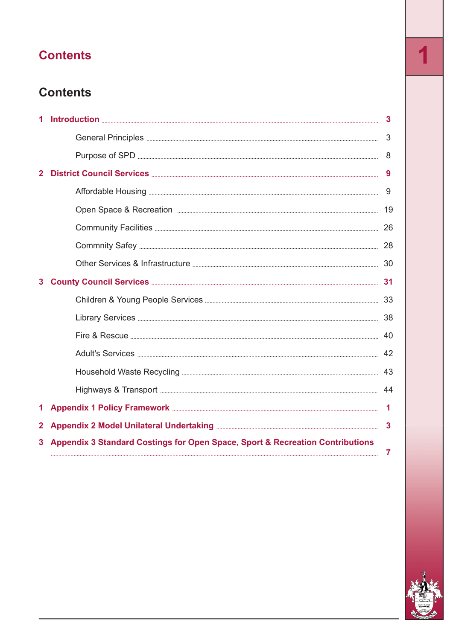# **Contents 1**

### **Contents**

| 1                       |                                                                               |              |
|-------------------------|-------------------------------------------------------------------------------|--------------|
|                         |                                                                               |              |
|                         |                                                                               |              |
| $\overline{\mathbf{2}}$ |                                                                               |              |
|                         |                                                                               |              |
|                         |                                                                               |              |
|                         |                                                                               |              |
|                         |                                                                               |              |
|                         |                                                                               |              |
| 3                       |                                                                               |              |
|                         |                                                                               |              |
|                         |                                                                               |              |
|                         |                                                                               |              |
|                         |                                                                               |              |
|                         |                                                                               |              |
|                         |                                                                               |              |
| 1.                      |                                                                               |              |
| $\mathbf{2}$            |                                                                               | $\mathbf{3}$ |
| 3                       | Appendix 3 Standard Costings for Open Space, Sport & Recreation Contributions |              |
|                         |                                                                               | $\mathbf{7}$ |

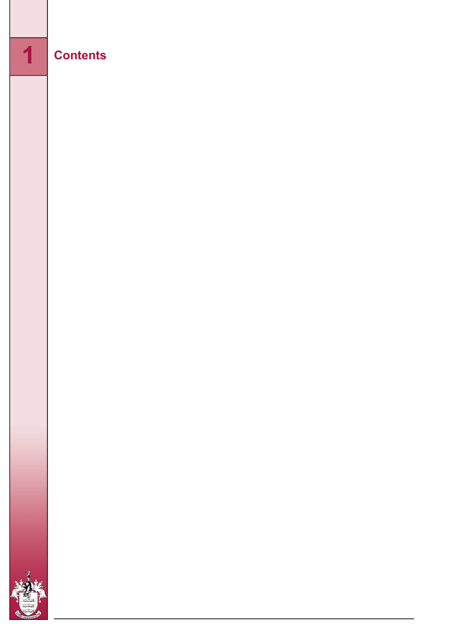## **Contents**

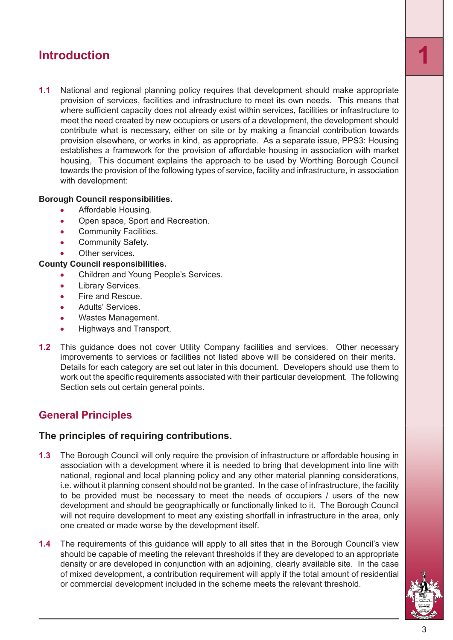<span id="page-2-0"></span>**1.1** National and regional planning policy requires that development should make appropriate provision of services, facilities and infrastructure to meet its own needs. This means that where sufficient capacity does not already exist within services, facilities or infrastructure to meet the need created by new occupiers or users of a development, the development should contribute what is necessary, either on site or by making a financial contribution towards provision elsewhere, or works in kind, as appropriate. As a separate issue, PPS3: Housing establishes a framework for the provision of affordable housing in association with market housing, This document explains the approach to be used by Worthing Borough Council towards the provision of the following types of service, facility and infrastructure, in association with development:

#### **Borough Council responsibilities.**

- Affordable Housing.
- Open space, Sport and Recreation.  $\bullet$
- Community Facilities. Ä
- Community Safety.  $\bullet$
- Other services.

#### **County Council responsibilities.**

- Children and Young People's Services.
- Library Services.
- Fire and Rescue.
- Adults' Services.
- Wastes Management.
- Highways and Transport.
- <span id="page-2-1"></span>**1.2** This guidance does not cover Utility Company facilities and services. Other necessary improvements to services or facilities not listed above will be considered on their merits. Details for each category are set out later in this document. Developers should use them to work out the specific requirements associated with their particular development. The following Section sets out certain general points.

#### **General Principles**

#### **The principles of requiring contributions.**

- **1.3** The Borough Council will only require the provision of infrastructure or affordable housing in association with a development where it is needed to bring that development into line with national, regional and local planning policy and any other material planning considerations, i.e. without it planning consent should not be granted. In the case of infrastructure, the facility to be provided must be necessary to meet the needs of occupiers / users of the new development and should be geographically or functionally linked to it. The Borough Council will not require development to meet any existing shortfall in infrastructure in the area, only one created or made worse by the development itself.
- **1.4** The requirements of this guidance will apply to all sites that in the Borough Council's view should be capable of meeting the relevant thresholds if they are developed to an appropriate density or are developed in conjunction with an adjoining, clearly available site. In the case of mixed development, a contribution requirement will apply if the total amount of residential or commercial development included in the scheme meets the relevant threshold.

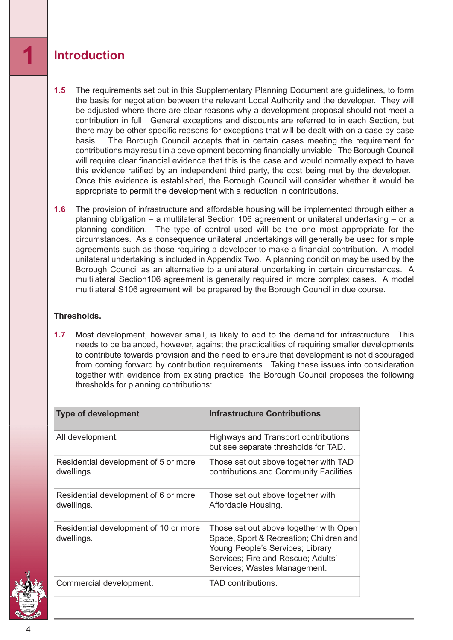- **1.5** The requirements set out in this Supplementary Planning Document are guidelines, to form the basis for negotiation between the relevant Local Authority and the developer. They will be adjusted where there are clear reasons why a development proposal should not meet a contribution in full. General exceptions and discounts are referred to in each Section, but there may be other specific reasons for exceptions that will be dealt with on a case by case basis. The Borough Council accepts that in certain cases meeting the requirement for contributions may result in a development becoming financially unviable. The Borough Council will require clear financial evidence that this is the case and would normally expect to have this evidence ratified by an independent third party, the cost being met by the developer. Once this evidence is established, the Borough Council will consider whether it would be appropriate to permit the development with a reduction in contributions.
- **1.6** The provision of infrastructure and affordable housing will be implemented through either a planning obligation – a multilateral Section 106 agreement or unilateral undertaking – or a planning condition. The type of control used will be the one most appropriate for the circumstances. As a consequence unilateral undertakings will generally be used for simple agreements such as those requiring a developer to make a financial contribution. A model unilateral undertaking is included in Appendix Two. A planning condition may be used by the Borough Council as an alternative to a unilateral undertaking in certain circumstances. A multilateral Section106 agreement is generally required in more complex cases. A model multilateral S106 agreement will be prepared by the Borough Council in due course.

#### **Thresholds.**

**1.7** Most development, however small, is likely to add to the demand for infrastructure. This needs to be balanced, however, against the practicalities of requiring smaller developments to contribute towards provision and the need to ensure that development is not discouraged from coming forward by contribution requirements. Taking these issues into consideration together with evidence from existing practice, the Borough Council proposes the following thresholds for planning contributions:

| <b>Type of development</b>                          | <b>Infrastructure Contributions</b>                                                                                                                                                         |
|-----------------------------------------------------|---------------------------------------------------------------------------------------------------------------------------------------------------------------------------------------------|
| All development.                                    | <b>Highways and Transport contributions</b><br>but see separate thresholds for TAD.                                                                                                         |
| Residential development of 5 or more<br>dwellings.  | Those set out above together with TAD<br>contributions and Community Facilities.                                                                                                            |
| Residential development of 6 or more<br>dwellings.  | Those set out above together with<br>Affordable Housing.                                                                                                                                    |
| Residential development of 10 or more<br>dwellings. | Those set out above together with Open<br>Space, Sport & Recreation; Children and<br>Young People's Services; Library<br>Services; Fire and Rescue; Adults'<br>Services; Wastes Management. |
| Commercial development.                             | TAD contributions.                                                                                                                                                                          |

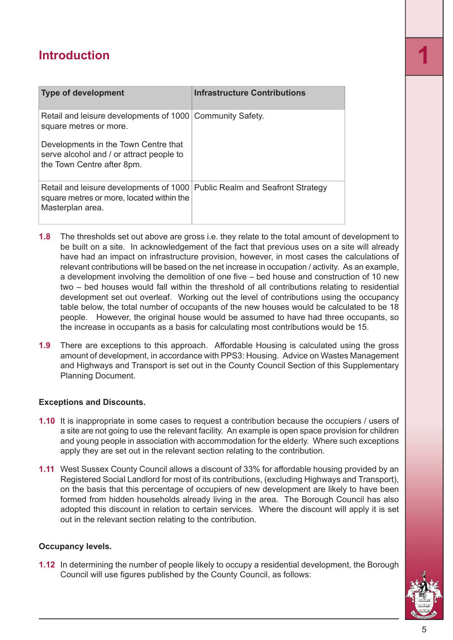| <b>Type of development</b>                                                                                                                  | <b>Infrastructure Contributions</b> |
|---------------------------------------------------------------------------------------------------------------------------------------------|-------------------------------------|
| Retail and leisure developments of 1000 Community Safety.<br>square metres or more.                                                         |                                     |
| Developments in the Town Centre that<br>serve alcohol and / or attract people to<br>the Town Centre after 8pm.                              |                                     |
| Retail and leisure developments of 1000 Public Realm and Seafront Strategy<br>square metres or more, located within the<br>Masterplan area. |                                     |

- **1.8** The thresholds set out above are gross i.e. they relate to the total amount of development to be built on a site. In acknowledgement of the fact that previous uses on a site will already have had an impact on infrastructure provision, however, in most cases the calculations of relevant contributions will be based on the net increase in occupation / activity. As an example, a development involving the demolition of one five – bed house and construction of 10 new two – bed houses would fall within the threshold of all contributions relating to residential development set out overleaf. Working out the level of contributions using the occupancy table below, the total number of occupants of the new houses would be calculated to be 18 people. However, the original house would be assumed to have had three occupants, so the increase in occupants as a basis for calculating most contributions would be 15.
- **1.9** There are exceptions to this approach. Affordable Housing is calculated using the gross amount of development, in accordance with PPS3: Housing. Advice on Wastes Management and Highways and Transport is set out in the County Council Section of this Supplementary Planning Document.

#### **Exceptions and Discounts.**

- **1.10** It is inappropriate in some cases to request a contribution because the occupiers / users of a site are not going to use the relevant facility. An example is open space provision for children and young people in association with accommodation for the elderly. Where such exceptions apply they are set out in the relevant section relating to the contribution.
- **1.11** West Sussex County Council allows a discount of 33% for affordable housing provided by an Registered Social Landlord for most of its contributions, (excluding Highways and Transport), on the basis that this percentage of occupiers of new development are likely to have been formed from hidden households already living in the area. The Borough Council has also adopted this discount in relation to certain services. Where the discount will apply it is set out in the relevant section relating to the contribution.

#### **Occupancy levels.**

**1.12** In determining the number of people likely to occupy a residential development, the Borough Council will use figures published by the County Council, as follows:

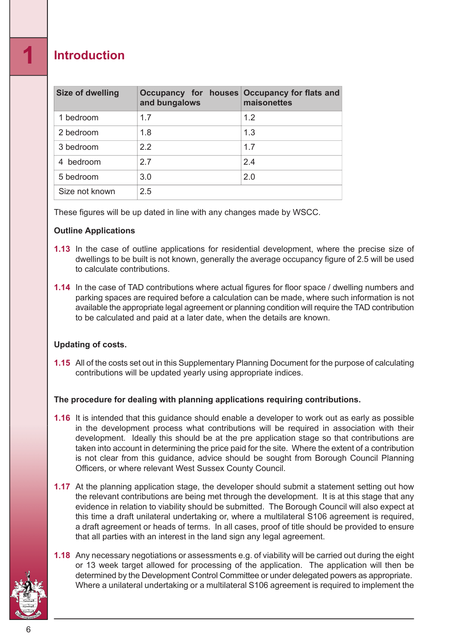| Size of dwelling | Occupancy for houses Occupancy for flats and<br>and bungalows | maisonettes |
|------------------|---------------------------------------------------------------|-------------|
| 1 bedroom        | 1.7                                                           | 1.2         |
| 2 bedroom        | 1.8                                                           | 1.3         |
| 3 bedroom        | 2.2                                                           | 1.7         |
| 4 bedroom        | 27                                                            | 2.4         |
| 5 bedroom        | 3.0                                                           | 2.0         |
| Size not known   | 2.5                                                           |             |

These figures will be up dated in line with any changes made by WSCC.

#### **Outline Applications**

- **1.13** In the case of outline applications for residential development, where the precise size of dwellings to be built is not known, generally the average occupancy figure of 2.5 will be used to calculate contributions.
- **1.14** In the case of TAD contributions where actual figures for floor space / dwelling numbers and parking spaces are required before a calculation can be made, where such information is not available the appropriate legal agreement or planning condition will require the TAD contribution to be calculated and paid at a later date, when the details are known.

#### **Updating of costs.**

**1.15** All of the costs set out in this Supplementary Planning Document for the purpose of calculating contributions will be updated yearly using appropriate indices.

#### **The procedure for dealing with planning applications requiring contributions.**

- **1.16** It is intended that this guidance should enable a developer to work out as early as possible in the development process what contributions will be required in association with their development. Ideally this should be at the pre application stage so that contributions are taken into account in determining the price paid for the site. Where the extent of a contribution is not clear from this guidance, advice should be sought from Borough Council Planning Officers, or where relevant West Sussex County Council.
- **1.17** At the planning application stage, the developer should submit a statement setting out how the relevant contributions are being met through the development. It is at this stage that any evidence in relation to viability should be submitted. The Borough Council will also expect at this time a draft unilateral undertaking or, where a multilateral S106 agreement is required, a draft agreement or heads of terms. In all cases, proof of title should be provided to ensure that all parties with an interest in the land sign any legal agreement.
- **1.18** Any necessary negotiations or assessments e.g. of viability will be carried out during the eight or 13 week target allowed for processing of the application. The application will then be determined by the Development Control Committee or under delegated powers as appropriate. Where a unilateral undertaking or a multilateral S106 agreement is required to implement the



6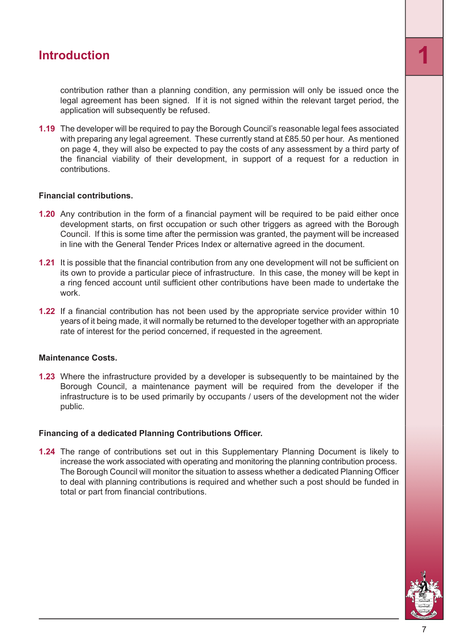contribution rather than a planning condition, any permission will only be issued once the legal agreement has been signed. If it is not signed within the relevant target period, the application will subsequently be refused.

**1.19** The developer will be required to pay the Borough Council's reasonable legal fees associated with preparing any legal agreement. These currently stand at £85.50 per hour. As mentioned on page 4, they will also be expected to pay the costs of any assessment by a third party of the financial viability of their development, in support of a request for a reduction in contributions.

#### **Financial contributions.**

- **1.20** Any contribution in the form of a financial payment will be required to be paid either once development starts, on first occupation or such other triggers as agreed with the Borough Council. If this is some time after the permission was granted, the payment will be increased in line with the General Tender Prices Index or alternative agreed in the document.
- **1.21** It is possible that the financial contribution from any one development will not be sufficient on its own to provide a particular piece of infrastructure. In this case, the money will be kept in a ring fenced account until sufficient other contributions have been made to undertake the work.
- **1.22** If a financial contribution has not been used by the appropriate service provider within 10 years of it being made, it will normally be returned to the developer together with an appropriate rate of interest for the period concerned, if requested in the agreement.

#### **Maintenance Costs.**

**1.23** Where the infrastructure provided by a developer is subsequently to be maintained by the Borough Council, a maintenance payment will be required from the developer if the infrastructure is to be used primarily by occupants / users of the development not the wider public.

#### **Financing of a dedicated Planning Contributions Officer.**

**1.24** The range of contributions set out in this Supplementary Planning Document is likely to increase the work associated with operating and monitoring the planning contribution process. The Borough Council will monitor the situation to assess whether a dedicated Planning Officer to deal with planning contributions is required and whether such a post should be funded in total or part from financial contributions.

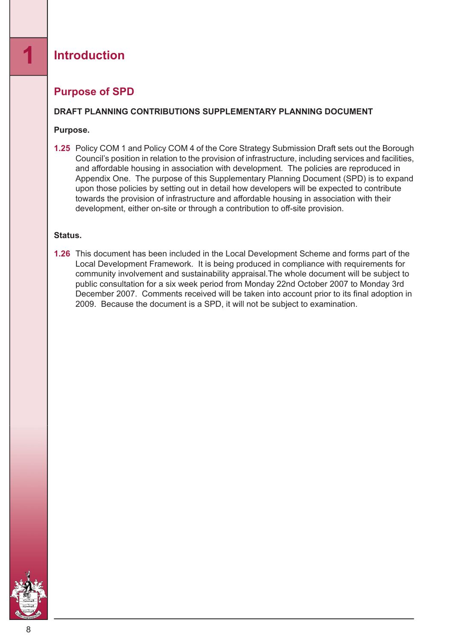#### <span id="page-7-0"></span>**Purpose of SPD**

#### **DRAFT PLANNING CONTRIBUTIONS SUPPLEMENTARY PLANNING DOCUMENT**

#### **Purpose.**

**1.25** Policy COM 1 and Policy COM 4 of the Core Strategy Submission Draft sets out the Borough Council's position in relation to the provision of infrastructure, including services and facilities, and affordable housing in association with development. The policies are reproduced in Appendix One. The purpose of this Supplementary Planning Document (SPD) is to expand upon those policies by setting out in detail how developers will be expected to contribute towards the provision of infrastructure and affordable housing in association with their development, either on-site or through a contribution to off-site provision.

#### **Status.**

**1.26** This document has been included in the Local Development Scheme and forms part of the Local Development Framework. It is being produced in compliance with requirements for community involvement and sustainability appraisal.The whole document will be subject to public consultation for a six week period from Monday 22nd October 2007 to Monday 3rd December 2007. Comments received will be taken into account prior to its final adoption in 2009. Because the document is a SPD, it will not be subject to examination.

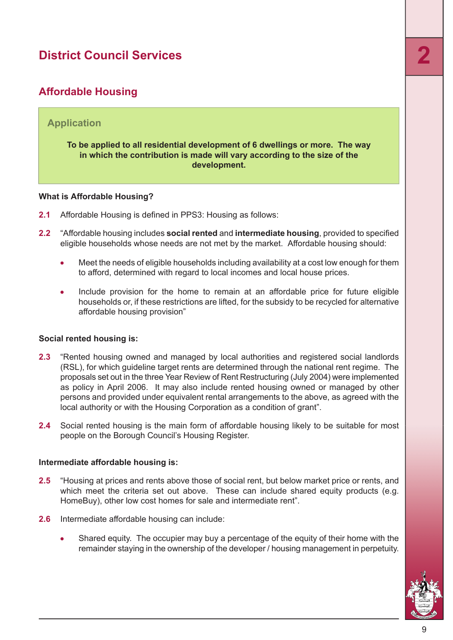### <span id="page-8-0"></span>**Affordable Housing**

#### **Application**

#### **To be applied to all residential development of 6 dwellings or more. The way in which the contribution is made will vary according to the size of the development.**

#### **What is Affordable Housing?**

- **2.1** Affordable Housing is defined in PPS3: Housing as follows:
- **2.2** "Affordable housing includes **social rented** and **intermediate housing**, provided to specified eligible households whose needs are not met by the market. Affordable housing should:
	- Meet the needs of eligible households including availability at a cost low enough for them to afford, determined with regard to local incomes and local house prices.
	- Include provision for the home to remain at an affordable price for future eligible households or, if these restrictions are lifted, for the subsidy to be recycled for alternative affordable housing provision"

#### **Social rented housing is:**

- **2.3** "Rented housing owned and managed by local authorities and registered social landlords (RSL), for which guideline target rents are determined through the national rent regime. The proposals set out in the three Year Review of Rent Restructuring (July 2004) were implemented as policy in April 2006. It may also include rented housing owned or managed by other persons and provided under equivalent rental arrangements to the above, as agreed with the local authority or with the Housing Corporation as a condition of grant".
- **2.4** Social rented housing is the main form of affordable housing likely to be suitable for most people on the Borough Council's Housing Register.

#### **Intermediate affordable housing is:**

- **2.5** "Housing at prices and rents above those of social rent, but below market price or rents, and which meet the criteria set out above. These can include shared equity products (e.g. HomeBuy), other low cost homes for sale and intermediate rent".
- **2.6** Intermediate affordable housing can include:
	- Shared equity. The occupier may buy a percentage of the equity of their home with the remainder staying in the ownership of the developer / housing management in perpetuity.

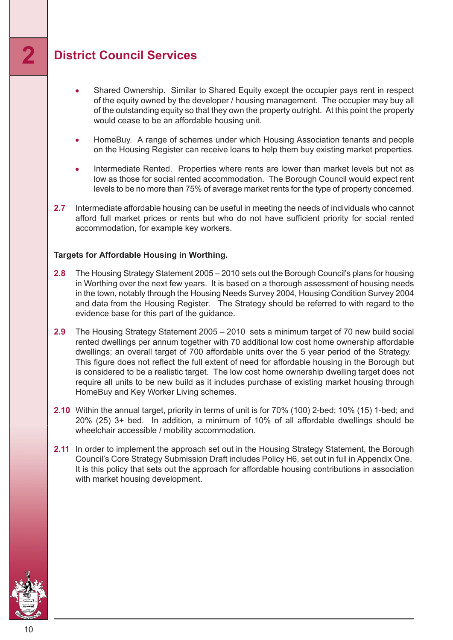- Shared Ownership. Similar to Shared Equity except the occupier pays rent in respect  $\bullet$ of the equity owned by the developer / housing management. The occupier may buy all of the outstanding equity so that they own the property outright. At this point the property would cease to be an affordable housing unit.
- HomeBuy. A range of schemes under which Housing Association tenants and people  $\bullet$ on the Housing Register can receive loans to help them buy existing market properties.
- Intermediate Rented. Properties where rents are lower than market levels but not as low as those for social rented accommodation. The Borough Council would expect rent levels to be no more than 75% of average market rents for the type of property concerned.
- **2.7** Intermediate affordable housing can be useful in meeting the needs of individuals who cannot afford full market prices or rents but who do not have sufficient priority for social rented accommodation, for example key workers.

#### **Targets for Affordable Housing in Worthing.**

- **2.8** The Housing Strategy Statement 2005 2010 sets out the Borough Council's plans for housing in Worthing over the next few years. It is based on a thorough assessment of housing needs in the town, notably through the Housing Needs Survey 2004, Housing Condition Survey 2004 and data from the Housing Register. The Strategy should be referred to with regard to the evidence base for this part of the guidance.
- **2.9** The Housing Strategy Statement 2005 2010 sets a minimum target of 70 new build social rented dwellings per annum together with 70 additional low cost home ownership affordable dwellings; an overall target of 700 affordable units over the 5 year period of the Strategy. This figure does not reflect the full extent of need for affordable housing in the Borough but is considered to be a realistic target. The low cost home ownership dwelling target does not require all units to be new build as it includes purchase of existing market housing through HomeBuy and Key Worker Living schemes.
- **2.10** Within the annual target, priority in terms of unit is for 70% (100) 2-bed; 10% (15) 1-bed; and 20% (25) 3+ bed. In addition, a minimum of 10% of all affordable dwellings should be wheelchair accessible / mobility accommodation.
- **2.11** In order to implement the approach set out in the Housing Strategy Statement, the Borough Council's Core Strategy Submission Draft includes Policy H6, set out in full in Appendix One. It is this policy that sets out the approach for affordable housing contributions in association with market housing development.

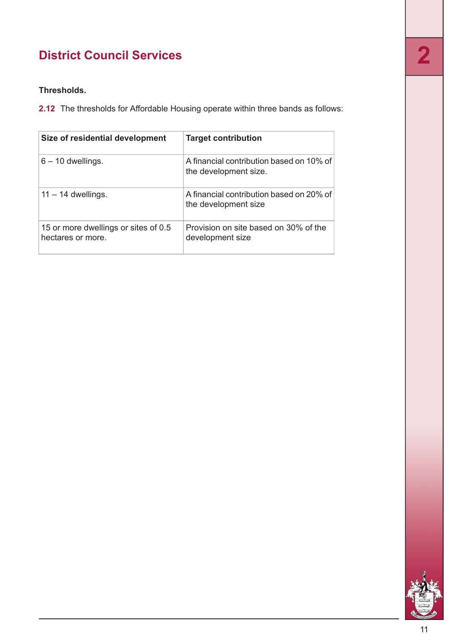#### **Thresholds.**

**2.12** The thresholds for Affordable Housing operate within three bands as follows:

| Size of residential development                           | <b>Target contribution</b>                                        |
|-----------------------------------------------------------|-------------------------------------------------------------------|
| $6 - 10$ dwellings.                                       | A financial contribution based on 10% of<br>the development size. |
| $11 - 14$ dwellings.                                      | A financial contribution based on 20% of<br>the development size  |
| 15 or more dwellings or sites of 0.5<br>hectares or more. | Provision on site based on 30% of the<br>development size         |

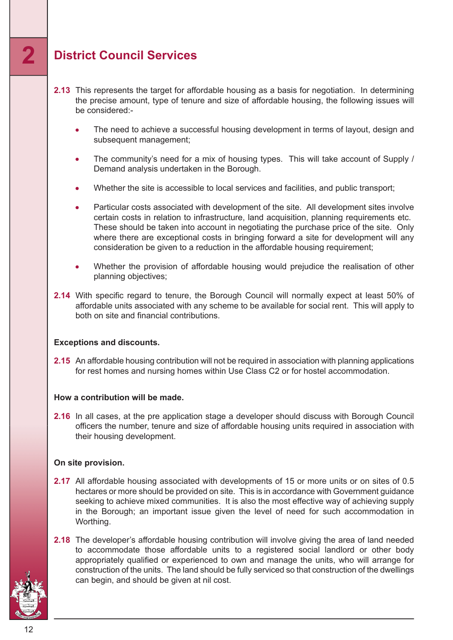- **2.13** This represents the target for affordable housing as a basis for negotiation. In determining the precise amount, type of tenure and size of affordable housing, the following issues will be considered:-
	- The need to achieve a successful housing development in terms of layout, design and subsequent management;
	- The community's need for a mix of housing types. This will take account of Supply /  $\bullet$ Demand analysis undertaken in the Borough.
	- Whether the site is accessible to local services and facilities, and public transport;
	- Particular costs associated with development of the site. All development sites involve certain costs in relation to infrastructure, land acquisition, planning requirements etc. These should be taken into account in negotiating the purchase price of the site. Only where there are exceptional costs in bringing forward a site for development will any consideration be given to a reduction in the affordable housing requirement;
	- Whether the provision of affordable housing would prejudice the realisation of other planning objectives;
- **2.14** With specific regard to tenure, the Borough Council will normally expect at least 50% of affordable units associated with any scheme to be available for social rent. This will apply to both on site and financial contributions.

#### **Exceptions and discounts.**

**2.15** An affordable housing contribution will not be required in association with planning applications for rest homes and nursing homes within Use Class C2 or for hostel accommodation.

#### **How a contribution will be made.**

**2.16** In all cases, at the pre application stage a developer should discuss with Borough Council officers the number, tenure and size of affordable housing units required in association with their housing development.

#### **On site provision.**

- **2.17** All affordable housing associated with developments of 15 or more units or on sites of 0.5 hectares or more should be provided on site. This is in accordance with Government guidance seeking to achieve mixed communities. It is also the most effective way of achieving supply in the Borough; an important issue given the level of need for such accommodation in Worthing.
- **2.18** The developer's affordable housing contribution will involve giving the area of land needed to accommodate those affordable units to a registered social landlord or other body appropriately qualified or experienced to own and manage the units, who will arrange for construction of the units. The land should be fully serviced so that construction of the dwellings can begin, and should be given at nil cost.

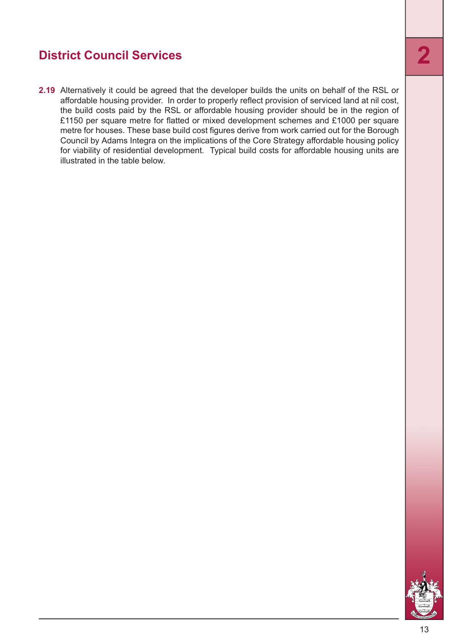**2.19** Alternatively it could be agreed that the developer builds the units on behalf of the RSL or affordable housing provider. In order to properly reflect provision of serviced land at nil cost, the build costs paid by the RSL or affordable housing provider should be in the region of £1150 per square metre for flatted or mixed development schemes and £1000 per square metre for houses. These base build cost figures derive from work carried out for the Borough Council by Adams Integra on the implications of the Core Strategy affordable housing policy for viability of residential development. Typical build costs for affordable housing units are illustrated in the table below.

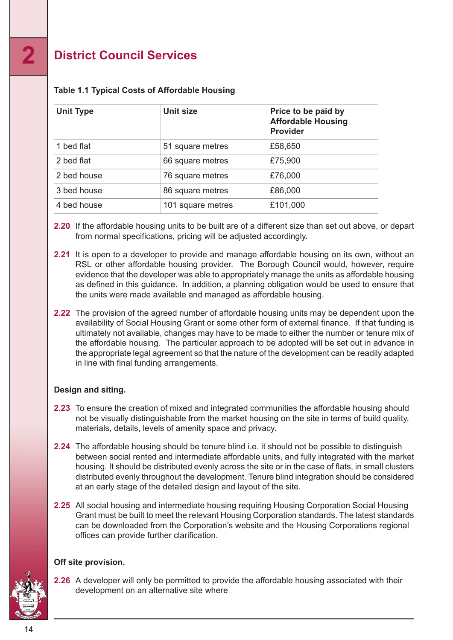| <b>Unit Type</b> | <b>Unit size</b>  | Price to be paid by<br><b>Affordable Housing</b><br><b>Provider</b> |  |  |
|------------------|-------------------|---------------------------------------------------------------------|--|--|
| 1 bed flat       | 51 square metres  | £58,650                                                             |  |  |
| 2 bed flat       | 66 square metres  | £75,900                                                             |  |  |
| 2 bed house      | 76 square metres  | £76,000                                                             |  |  |
| 3 bed house      | 86 square metres  | £86,000                                                             |  |  |
| 4 bed house      | 101 square metres | £101,000                                                            |  |  |

#### **Table 1.1 Typical Costs of Affordable Housing**

**2.20** If the affordable housing units to be built are of a different size than set out above, or depart from normal specifications, pricing will be adjusted accordingly.

- **2.21** It is open to a developer to provide and manage affordable housing on its own, without an RSL or other affordable housing provider. The Borough Council would, however, require evidence that the developer was able to appropriately manage the units as affordable housing as defined in this guidance. In addition, a planning obligation would be used to ensure that the units were made available and managed as affordable housing.
- **2.22** The provision of the agreed number of affordable housing units may be dependent upon the availability of Social Housing Grant or some other form of external finance. If that funding is ultimately not available, changes may have to be made to either the number or tenure mix of the affordable housing. The particular approach to be adopted will be set out in advance in the appropriate legal agreement so that the nature of the development can be readily adapted in line with final funding arrangements.

#### **Design and siting.**

- **2.23** To ensure the creation of mixed and integrated communities the affordable housing should not be visually distinguishable from the market housing on the site in terms of build quality, materials, details, levels of amenity space and privacy.
- **2.24** The affordable housing should be tenure blind i.e. it should not be possible to distinguish between social rented and intermediate affordable units, and fully integrated with the market housing. It should be distributed evenly across the site or in the case of flats, in small clusters distributed evenly throughout the development. Tenure blind integration should be considered at an early stage of the detailed design and layout of the site.
- **2.25** All social housing and intermediate housing requiring Housing Corporation Social Housing Grant must be built to meet the relevant Housing Corporation standards. The latest standards can be downloaded from the Corporation's website and the Housing Corporations regional offices can provide further clarification.

#### **Off site provision.**

**2.26** A developer will only be permitted to provide the affordable housing associated with their development on an alternative site where

14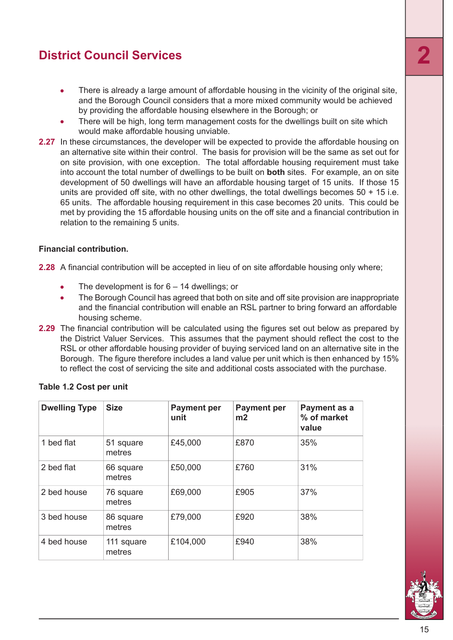- There is already a large amount of affordable housing in the vicinity of the original site,  $\bullet$ and the Borough Council considers that a more mixed community would be achieved by providing the affordable housing elsewhere in the Borough; or
- There will be high, long term management costs for the dwellings built on site which would make affordable housing unviable.
- **2.27** In these circumstances, the developer will be expected to provide the affordable housing on an alternative site within their control. The basis for provision will be the same as set out for on site provision, with one exception. The total affordable housing requirement must take into account the total number of dwellings to be built on **both** sites. For example, an on site development of 50 dwellings will have an affordable housing target of 15 units. If those 15 units are provided off site, with no other dwellings, the total dwellings becomes 50 + 15 i.e. 65 units. The affordable housing requirement in this case becomes 20 units. This could be met by providing the 15 affordable housing units on the off site and a financial contribution in relation to the remaining 5 units.

#### **Financial contribution.**

**2.28** A financial contribution will be accepted in lieu of on site affordable housing only where;

- The development is for  $6 14$  dwellings; or
- The Borough Council has agreed that both on site and off site provision are inappropriate and the financial contribution will enable an RSL partner to bring forward an affordable housing scheme.
- **2.29** The financial contribution will be calculated using the figures set out below as prepared by the District Valuer Services. This assumes that the payment should reflect the cost to the RSL or other affordable housing provider of buying serviced land on an alternative site in the Borough. The figure therefore includes a land value per unit which is then enhanced by 15% to reflect the cost of servicing the site and additional costs associated with the purchase.

| <b>Dwelling Type</b> | <b>Size</b>          | <b>Payment per</b><br>unit | <b>Payment per</b><br>m2 | Payment as a<br>% of market<br>value |
|----------------------|----------------------|----------------------------|--------------------------|--------------------------------------|
| 1 bed flat           | 51 square<br>metres  | £45,000                    | £870                     | 35%                                  |
| 2 bed flat           | 66 square<br>metres  | £50,000                    | £760                     | 31%                                  |
| 2 bed house          | 76 square<br>metres  | £69,000                    | £905                     | 37%                                  |
| 3 bed house          | 86 square<br>metres  | £79,000                    | £920                     | 38%                                  |
| 4 bed house          | 111 square<br>metres | £104,000                   | £940                     | 38%                                  |

#### **Table 1.2 Cost per unit**

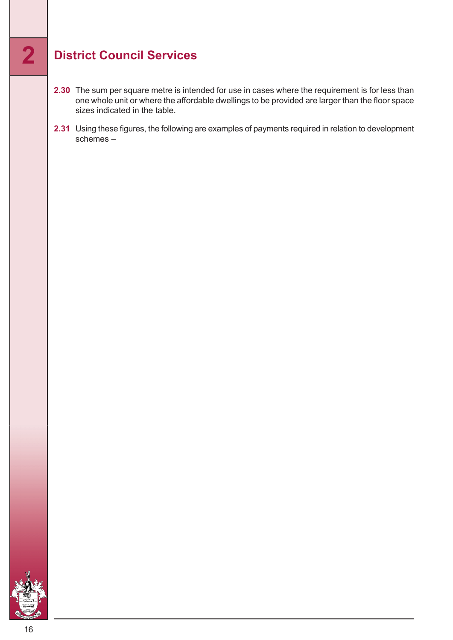- **2.30** The sum per square metre is intended for use in cases where the requirement is for less than one whole unit or where the affordable dwellings to be provided are larger than the floor space sizes indicated in the table.
- **2.31** Using these figures, the following are examples of payments required in relation to development schemes –

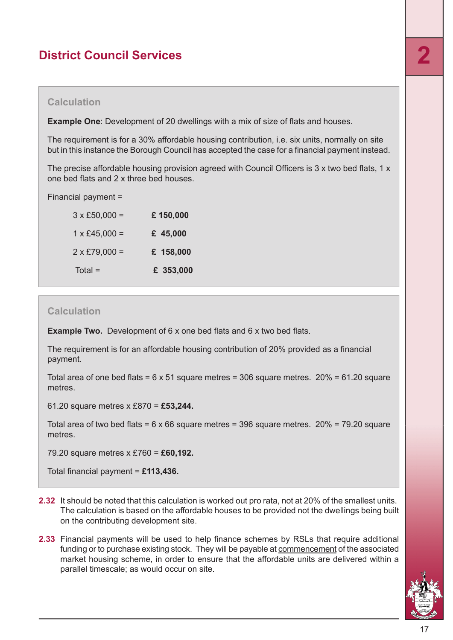**Example One**: Development of 20 dwellings with a mix of size of flats and houses.

The requirement is for a 30% affordable housing contribution, i.e. six units, normally on site but in this instance the Borough Council has accepted the case for a financial payment instead.

The precise affordable housing provision agreed with Council Officers is 3 x two bed flats, 1 x one bed flats and 2 x three bed houses.

Financial payment =

| $3 \times £50,000 =$ | £150,000  |
|----------------------|-----------|
| $1 \times £45,000 =$ | £ 45,000  |
| $2 \times £79,000 =$ | £ 158,000 |
| $Total =$            | £ 353,000 |

#### **Calculation**

**Example Two.** Development of 6 x one bed flats and 6 x two bed flats.

The requirement is for an affordable housing contribution of 20% provided as a financial payment.

Total area of one bed flats =  $6 \times 51$  square metres = 306 square metres. 20% =  $61.20$  square metres.

61.20 square metres x £870 = **£53,244.**

Total area of two bed flats =  $6 \times 66$  square metres = 396 square metres. 20% = 79.20 square metres.

79.20 square metres x £760 = **£60,192.**

Total financial payment = **£113,436.**

- **2.32** It should be noted that this calculation is worked out pro rata, not at 20% of the smallest units. The calculation is based on the affordable houses to be provided not the dwellings being built on the contributing development site.
- **2.33** Financial payments will be used to help finance schemes by RSLs that require additional funding or to purchase existing stock. They will be payable at commencement of the associated market housing scheme, in order to ensure that the affordable units are delivered within a parallel timescale; as would occur on site.

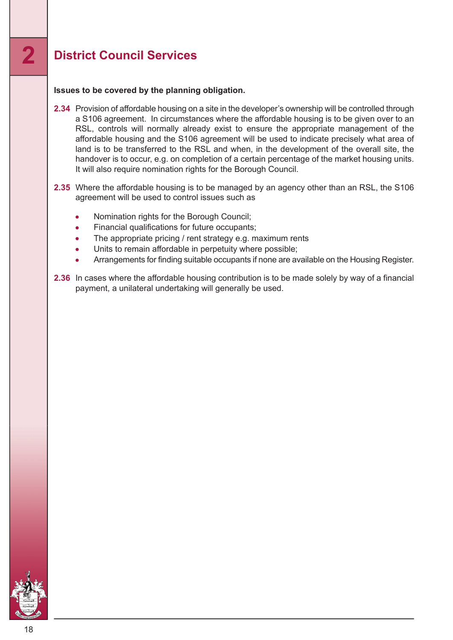#### **Issues to be covered by the planning obligation.**

- **2.34** Provision of affordable housing on a site in the developer's ownership will be controlled through a S106 agreement. In circumstances where the affordable housing is to be given over to an RSL, controls will normally already exist to ensure the appropriate management of the affordable housing and the S106 agreement will be used to indicate precisely what area of land is to be transferred to the RSL and when, in the development of the overall site, the handover is to occur, e.g. on completion of a certain percentage of the market housing units. It will also require nomination rights for the Borough Council.
- **2.35** Where the affordable housing is to be managed by an agency other than an RSL, the S106 agreement will be used to control issues such as
	- Nomination rights for the Borough Council;
	- Financial qualifications for future occupants;  $\bullet$
	- The appropriate pricing / rent strategy e.g. maximum rents  $\bullet$
	- Units to remain affordable in perpetuity where possible;
	- Arrangements for finding suitable occupants if none are available on the Housing Register.
- **2.36** In cases where the affordable housing contribution is to be made solely by way of a financial payment, a unilateral undertaking will generally be used.

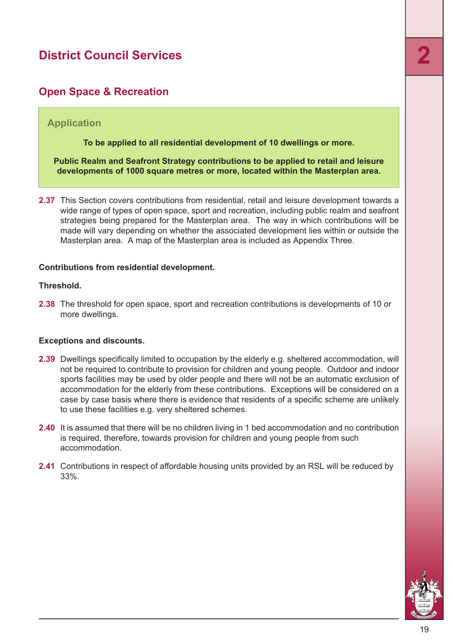#### <span id="page-18-0"></span>**Open Space & Recreation**

#### **Application**

**To be applied to all residential development of 10 dwellings or more.**

**Public Realm and Seafront Strategy contributions to be applied to retail and leisure developments of 1000 square metres or more, located within the Masterplan area.**

**2.37** This Section covers contributions from residential, retail and leisure development towards a wide range of types of open space, sport and recreation, including public realm and seafront strategies being prepared for the Masterplan area. The way in which contributions will be made will vary depending on whether the associated development lies within or outside the Masterplan area. A map of the Masterplan area is included as Appendix Three.

#### **Contributions from residential development.**

#### **Threshold.**

**2.38** The threshold for open space, sport and recreation contributions is developments of 10 or more dwellings.

#### **Exceptions and discounts.**

- **2.39** Dwellings specifically limited to occupation by the elderly e.g. sheltered accommodation, will not be required to contribute to provision for children and young people. Outdoor and indoor sports facilities may be used by older people and there will not be an automatic exclusion of accommodation for the elderly from these contributions. Exceptions will be considered on a case by case basis where there is evidence that residents of a specific scheme are unlikely to use these facilities e.g. very sheltered schemes.
- **2.40** It is assumed that there will be no children living in 1 bed accommodation and no contribution is required, therefore, towards provision for children and young people from such accommodation.
- **2.41** Contributions in respect of affordable housing units provided by an RSL will be reduced by 33%.

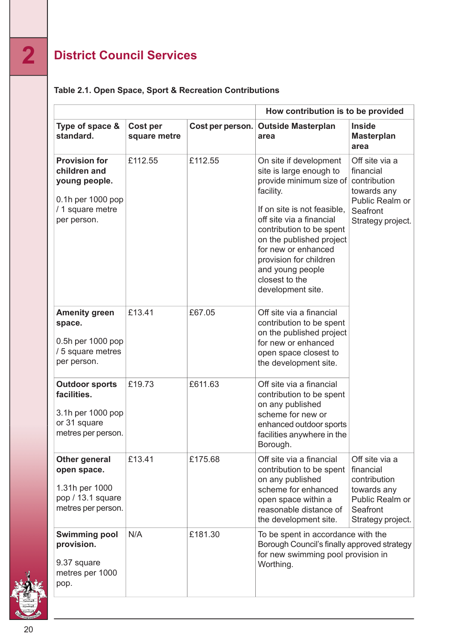|  |  | Table 2.1. Open Space, Sport & Recreation Contributions |
|--|--|---------------------------------------------------------|
|  |  |                                                         |

| How contribution is to be provided                                                                            |                                 |                  |                                                                                                                                                                                                                                                                                                                          |                                                                                                                |  |
|---------------------------------------------------------------------------------------------------------------|---------------------------------|------------------|--------------------------------------------------------------------------------------------------------------------------------------------------------------------------------------------------------------------------------------------------------------------------------------------------------------------------|----------------------------------------------------------------------------------------------------------------|--|
| Type of space &<br>standard.                                                                                  | <b>Cost per</b><br>square metre | Cost per person. | <b>Outside Masterplan</b><br>area                                                                                                                                                                                                                                                                                        | <b>Inside</b><br><b>Masterplan</b><br>area                                                                     |  |
| <b>Provision for</b><br>children and<br>young people.<br>0.1h per 1000 pop<br>/ 1 square metre<br>per person. | £112.55                         | £112.55          | On site if development<br>site is large enough to<br>provide minimum size of<br>facility.<br>If on site is not feasible.<br>off site via a financial<br>contribution to be spent<br>on the published project<br>for new or enhanced<br>provision for children<br>and young people<br>closest to the<br>development site. | Off site via a<br>financial<br>contribution<br>towards any<br>Public Realm or<br>Seafront<br>Strategy project. |  |
| <b>Amenity green</b><br>space.<br>0.5h per 1000 pop<br>/ 5 square metres<br>per person.                       | £13.41                          | £67.05           | Off site via a financial<br>contribution to be spent<br>on the published project<br>for new or enhanced<br>open space closest to<br>the development site.                                                                                                                                                                |                                                                                                                |  |
| <b>Outdoor sports</b><br>facilities.<br>3.1h per 1000 pop<br>or 31 square<br>metres per person.               | £19.73                          | £611.63          | Off site via a financial<br>contribution to be spent<br>on any published<br>scheme for new or<br>enhanced outdoor sports<br>facilities anywhere in the<br>Borough.                                                                                                                                                       |                                                                                                                |  |
| <b>Other general</b><br>open space.<br>1.31h per 1000<br>pop / 13.1 square<br>metres per person.              | £13.41                          | £175.68          | Off site via a financial<br>contribution to be spent<br>on any published<br>scheme for enhanced<br>open space within a<br>reasonable distance of<br>the development site.                                                                                                                                                | Off site via a<br>financial<br>contribution<br>towards any<br>Public Realm or<br>Seafront<br>Strategy project. |  |
| <b>Swimming pool</b><br>provision.<br>9.37 square<br>metres per 1000<br>pop.                                  | N/A                             | £181.30          | To be spent in accordance with the<br>Borough Council's finally approved strategy<br>for new swimming pool provision in<br>Worthing.                                                                                                                                                                                     |                                                                                                                |  |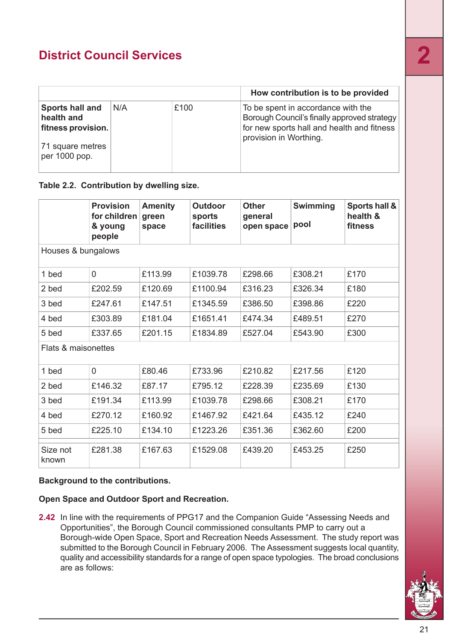|                                                     |     |      | How contribution is to be provided                                                                                                                        |
|-----------------------------------------------------|-----|------|-----------------------------------------------------------------------------------------------------------------------------------------------------------|
| Sports hall and<br>health and<br>fitness provision. | N/A | £100 | To be spent in accordance with the<br>Borough Council's finally approved strategy<br>for new sports hall and health and fitness<br>provision in Worthing. |
| 71 square metres<br>per 1000 pop.                   |     |      |                                                                                                                                                           |

#### **Table 2.2. Contribution by dwelling size.**

|                     | <b>Provision</b><br>for children<br>& young<br>people | <b>Amenity</b><br>green<br>space | <b>Outdoor</b><br>sports<br>facilities | <b>Other</b><br>general<br>open space | <b>Swimming</b><br>pool | Sports hall &<br>health &<br>fitness |  |
|---------------------|-------------------------------------------------------|----------------------------------|----------------------------------------|---------------------------------------|-------------------------|--------------------------------------|--|
|                     | Houses & bungalows                                    |                                  |                                        |                                       |                         |                                      |  |
| 1 bed               | $\overline{0}$                                        | £113.99                          | £1039.78                               | £298.66                               | £308.21                 | £170                                 |  |
| 2 bed               | £202.59                                               | £120.69                          | £1100.94                               | £316.23                               | £326.34                 | £180                                 |  |
| 3 bed               | £247.61                                               | £147.51                          | £1345.59                               | £386.50                               | £398.86                 | £220                                 |  |
| 4 bed               | £303.89                                               | £181.04                          | £1651.41                               | £474.34                               | £489.51                 | £270                                 |  |
| 5 bed               | £337.65                                               | £201.15                          | £1834.89                               | £527.04                               | £543.90                 | £300                                 |  |
| Flats & maisonettes |                                                       |                                  |                                        |                                       |                         |                                      |  |
| 1 bed               | 0                                                     | £80.46                           | £733.96                                | £210.82                               | £217.56                 | £120                                 |  |
| 2 bed               | £146.32                                               | £87.17                           | £795.12                                | £228.39                               | £235.69                 | £130                                 |  |
| 3 bed               | £191.34                                               | £113.99                          | £1039.78                               | £298.66                               | £308.21                 | £170                                 |  |
| 4 bed               | £270.12                                               | £160.92                          | £1467.92                               | £421.64                               | £435.12                 | £240                                 |  |
| 5 bed               | £225.10                                               | £134.10                          | £1223.26                               | £351.36                               | £362.60                 | £200                                 |  |
| Size not<br>known   | £281.38                                               | £167.63                          | £1529.08                               | £439.20                               | £453.25                 | £250                                 |  |

#### **Background to the contributions.**

#### **Open Space and Outdoor Sport and Recreation.**

**2.42** In line with the requirements of PPG17 and the Companion Guide "Assessing Needs and Opportunities", the Borough Council commissioned consultants PMP to carry out a Borough-wide Open Space, Sport and Recreation Needs Assessment. The study report was submitted to the Borough Council in February 2006. The Assessment suggests local quantity, quality and accessibility standards for a range of open space typologies. The broad conclusions are as follows:

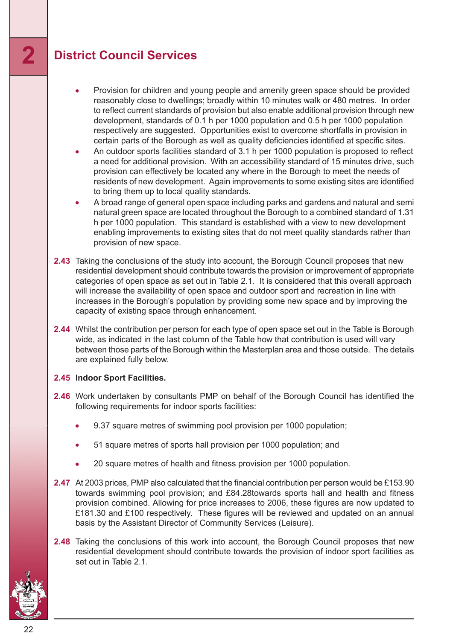- Provision for children and young people and amenity green space should be provided reasonably close to dwellings; broadly within 10 minutes walk or 480 metres. In order to reflect current standards of provision but also enable additional provision through new development, standards of 0.1 h per 1000 population and 0.5 h per 1000 population respectively are suggested. Opportunities exist to overcome shortfalls in provision in certain parts of the Borough as well as quality deficiencies identified at specific sites.
- An outdoor sports facilities standard of 3.1 h per 1000 population is proposed to reflect a need for additional provision. With an accessibility standard of 15 minutes drive, such provision can effectively be located any where in the Borough to meet the needs of residents of new development. Again improvements to some existing sites are identified to bring them up to local quality standards.
- A broad range of general open space including parks and gardens and natural and semi natural green space are located throughout the Borough to a combined standard of 1.31 h per 1000 population. This standard is established with a view to new development enabling improvements to existing sites that do not meet quality standards rather than provision of new space.
- **2.43** Taking the conclusions of the study into account, the Borough Council proposes that new residential development should contribute towards the provision or improvement of appropriate categories of open space as set out in Table 2.1. It is considered that this overall approach will increase the availability of open space and outdoor sport and recreation in line with increases in the Borough's population by providing some new space and by improving the capacity of existing space through enhancement.
- **2.44** Whilst the contribution per person for each type of open space set out in the Table is Borough wide, as indicated in the last column of the Table how that contribution is used will vary between those parts of the Borough within the Masterplan area and those outside. The details are explained fully below.

#### **2.45 Indoor Sport Facilities.**

- **2.46** Work undertaken by consultants PMP on behalf of the Borough Council has identified the following requirements for indoor sports facilities:
	- 9.37 square metres of swimming pool provision per 1000 population;
	- 51 square metres of sports hall provision per 1000 population; and
	- 20 square metres of health and fitness provision per 1000 population.
- **2.47** At 2003 prices, PMP also calculated that the financial contribution per person would be £153.90 towards swimming pool provision; and £84.28towards sports hall and health and fitness provision combined. Allowing for price increases to 2006, these figures are now updated to £181.30 and £100 respectively. These figures will be reviewed and updated on an annual basis by the Assistant Director of Community Services (Leisure).
- **2.48** Taking the conclusions of this work into account, the Borough Council proposes that new residential development should contribute towards the provision of indoor sport facilities as set out in Table 2.1.

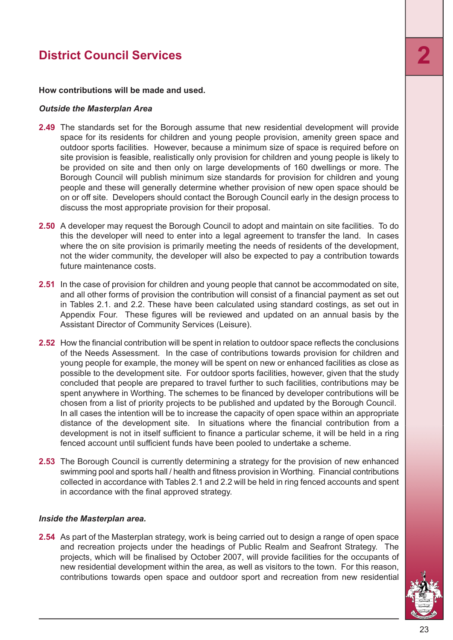#### **How contributions will be made and used.**

#### *Outside the Masterplan Area*

- **2.49** The standards set for the Borough assume that new residential development will provide space for its residents for children and young people provision, amenity green space and outdoor sports facilities. However, because a minimum size of space is required before on site provision is feasible, realistically only provision for children and young people is likely to be provided on site and then only on large developments of 160 dwellings or more. The Borough Council will publish minimum size standards for provision for children and young people and these will generally determine whether provision of new open space should be on or off site. Developers should contact the Borough Council early in the design process to discuss the most appropriate provision for their proposal.
- **2.50** A developer may request the Borough Council to adopt and maintain on site facilities. To do this the developer will need to enter into a legal agreement to transfer the land. In cases where the on site provision is primarily meeting the needs of residents of the development, not the wider community, the developer will also be expected to pay a contribution towards future maintenance costs.
- **2.51** In the case of provision for children and young people that cannot be accommodated on site, and all other forms of provision the contribution will consist of a financial payment as set out in Tables 2.1. and 2.2. These have been calculated using standard costings, as set out in Appendix Four. These figures will be reviewed and updated on an annual basis by the Assistant Director of Community Services (Leisure).
- **2.52** How the financial contribution will be spent in relation to outdoor space reflects the conclusions of the Needs Assessment. In the case of contributions towards provision for children and young people for example, the money will be spent on new or enhanced facilities as close as possible to the development site. For outdoor sports facilities, however, given that the study concluded that people are prepared to travel further to such facilities, contributions may be spent anywhere in Worthing. The schemes to be financed by developer contributions will be chosen from a list of priority projects to be published and updated by the Borough Council. In all cases the intention will be to increase the capacity of open space within an appropriate distance of the development site. In situations where the financial contribution from a development is not in itself sufficient to finance a particular scheme, it will be held in a ring fenced account until sufficient funds have been pooled to undertake a scheme.
- **2.53** The Borough Council is currently determining a strategy for the provision of new enhanced swimming pool and sports hall / health and fitness provision in Worthing. Financial contributions collected in accordance with Tables 2.1 and 2.2 will be held in ring fenced accounts and spent in accordance with the final approved strategy.

#### *Inside the Masterplan area.*

**2.54** As part of the Masterplan strategy, work is being carried out to design a range of open space and recreation projects under the headings of Public Realm and Seafront Strategy. The projects, which will be finalised by October 2007, will provide facilities for the occupants of new residential development within the area, as well as visitors to the town. For this reason, contributions towards open space and outdoor sport and recreation from new residential

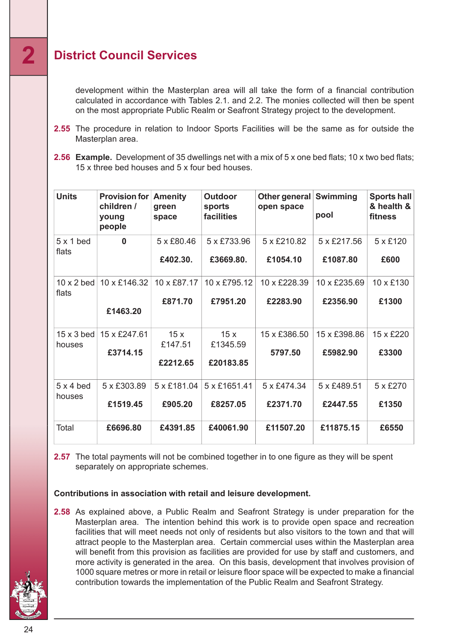development within the Masterplan area will all take the form of a financial contribution calculated in accordance with Tables 2.1. and 2.2. The monies collected will then be spent on the most appropriate Public Realm or Seafront Strategy project to the development.

- **2.55** The procedure in relation to Indoor Sports Facilities will be the same as for outside the Masterplan area.
- **2.56 Example.** Development of 35 dwellings net with a mix of 5 x one bed flats; 10 x two bed flats; 15 x three bed houses and 5 x four bed houses.

| <b>Units</b>                | <b>Provision for</b><br>children /<br>young<br>people | <b>Amenity</b><br>green<br>space | <b>Outdoor</b><br>sports<br>facilities | Other general Swimming<br>open space | pool                     | Sports hall<br>& health &<br>fitness |
|-----------------------------|-------------------------------------------------------|----------------------------------|----------------------------------------|--------------------------------------|--------------------------|--------------------------------------|
| $5 \times 1$ bed            | $\bf{0}$                                              | 5 x £80.46                       | 5 x £733.96                            | 5 x £210.82                          | 5 x £217.56              | 5 x £120                             |
| flats                       |                                                       | £402.30.                         | £3669.80.                              | £1054.10                             | £1087.80                 | £600                                 |
| $10 \times 2$ bed           | 10 x £146.32                                          | 10 x £87.17                      | 10 x £795.12                           | 10 x £228.39                         | 10 x £235.69             | 10 x £130                            |
| flats                       | £1463.20                                              | £871.70                          | £7951.20                               | £2283.90                             | £2356.90                 | £1300                                |
| $15 \times 3$ bed<br>houses | 15 x £247.61<br>£3714.15                              | 15x<br>£147.51<br>£2212.65       | 15x<br>£1345.59<br>£20183.85           | 15 x £386.50<br>5797.50              | 15 x £398.86<br>£5982.90 | 15 x £220<br>£3300                   |
| $5 \times 4$ bed            | 5 x £303.89                                           | 5 x £181.04                      | 5 x £1651.41                           | 5 x £474.34                          | 5 x £489.51              | 5 x £270                             |
| houses                      | £1519.45                                              | £905.20                          | £8257.05                               | £2371.70                             | £2447.55                 | £1350                                |
| Total                       | £6696.80                                              | £4391.85                         | £40061.90                              | £11507.20                            | £11875.15                | £6550                                |

**2.57** The total payments will not be combined together in to one figure as they will be spent separately on appropriate schemes.

#### **Contributions in association with retail and leisure development.**

**2.58** As explained above, a Public Realm and Seafront Strategy is under preparation for the Masterplan area. The intention behind this work is to provide open space and recreation facilities that will meet needs not only of residents but also visitors to the town and that will attract people to the Masterplan area. Certain commercial uses within the Masterplan area will benefit from this provision as facilities are provided for use by staff and customers, and more activity is generated in the area. On this basis, development that involves provision of 1000 square metres or more in retail or leisure floor space will be expected to make a financial contribution towards the implementation of the Public Realm and Seafront Strategy.

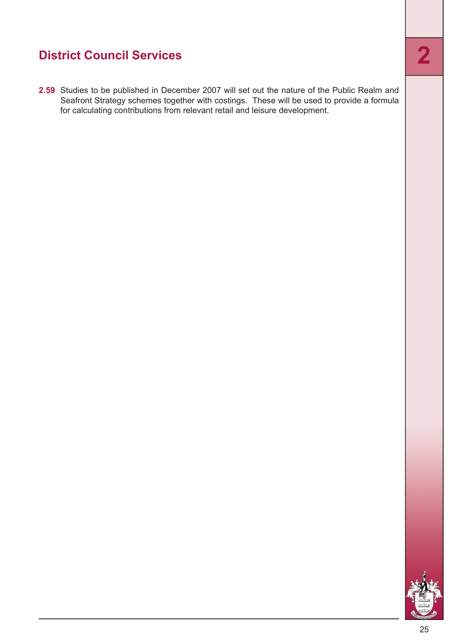**2.59** Studies to be published in December 2007 will set out the nature of the Public Realm and Seafront Strategy schemes together with costings. These will be used to provide a formula for calculating contributions from relevant retail and leisure development.

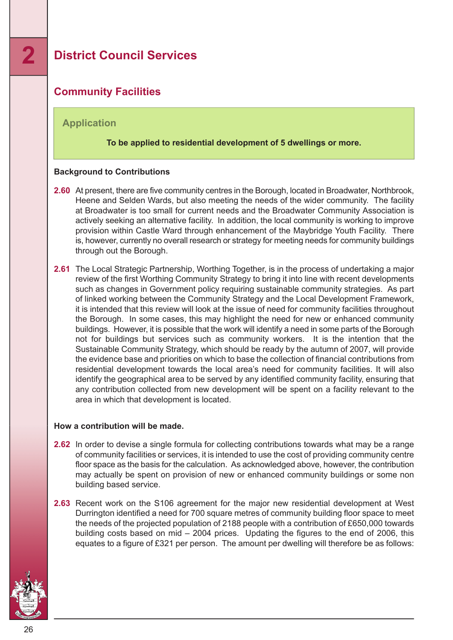#### <span id="page-25-0"></span>**Community Facilities**

#### **Application**

#### **To be applied to residential development of 5 dwellings or more.**

#### **Background to Contributions**

- **2.60** At present, there are five community centres in the Borough, located in Broadwater, Northbrook, Heene and Selden Wards, but also meeting the needs of the wider community. The facility at Broadwater is too small for current needs and the Broadwater Community Association is actively seeking an alternative facility. In addition, the local community is working to improve provision within Castle Ward through enhancement of the Maybridge Youth Facility. There is, however, currently no overall research or strategy for meeting needs for community buildings through out the Borough.
- **2.61** The Local Strategic Partnership, Worthing Together, is in the process of undertaking a major review of the first Worthing Community Strategy to bring it into line with recent developments such as changes in Government policy requiring sustainable community strategies. As part of linked working between the Community Strategy and the Local Development Framework, it is intended that this review will look at the issue of need for community facilities throughout the Borough. In some cases, this may highlight the need for new or enhanced community buildings. However, it is possible that the work will identify a need in some parts of the Borough not for buildings but services such as community workers. It is the intention that the Sustainable Community Strategy, which should be ready by the autumn of 2007, will provide the evidence base and priorities on which to base the collection of financial contributions from residential development towards the local area's need for community facilities. It will also identify the geographical area to be served by any identified community facility, ensuring that any contribution collected from new development will be spent on a facility relevant to the area in which that development is located.

#### **How a contribution will be made.**

- **2.62** In order to devise a single formula for collecting contributions towards what may be a range of community facilities or services, it is intended to use the cost of providing community centre floor space as the basis for the calculation. As acknowledged above, however, the contribution may actually be spent on provision of new or enhanced community buildings or some non building based service.
- **2.63** Recent work on the S106 agreement for the major new residential development at West Durrington identified a need for 700 square metres of community building floor space to meet the needs of the projected population of 2188 people with a contribution of £650,000 towards building costs based on mid – 2004 prices. Updating the figures to the end of 2006, this equates to a figure of £321 per person. The amount per dwelling will therefore be as follows:

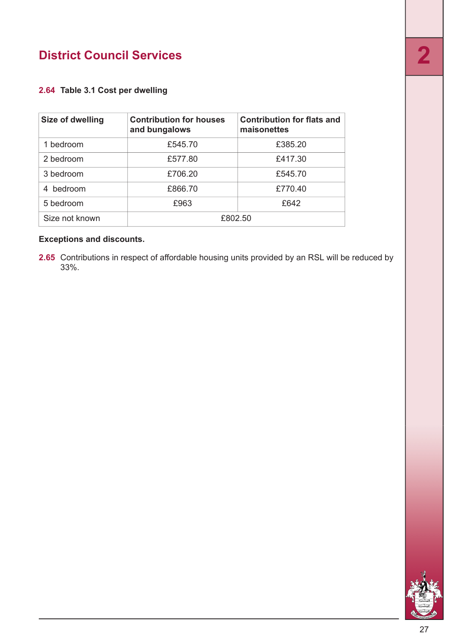#### **2.64 Table 3.1 Cost per dwelling**

| Size of dwelling | <b>Contribution for houses</b><br>and bungalows | <b>Contribution for flats and</b><br>maisonettes |  |
|------------------|-------------------------------------------------|--------------------------------------------------|--|
| 1 bedroom        | £545.70                                         | £385.20                                          |  |
| 2 bedroom        | £577.80                                         | £417.30                                          |  |
| 3 bedroom        | £706.20                                         | £545.70                                          |  |
| 4 bedroom        | £866.70                                         | £770.40                                          |  |
| 5 bedroom        | £963                                            | £642                                             |  |
| Size not known   | £802.50                                         |                                                  |  |

#### **Exceptions and discounts.**

**2.65** Contributions in respect of affordable housing units provided by an RSL will be reduced by 33%.

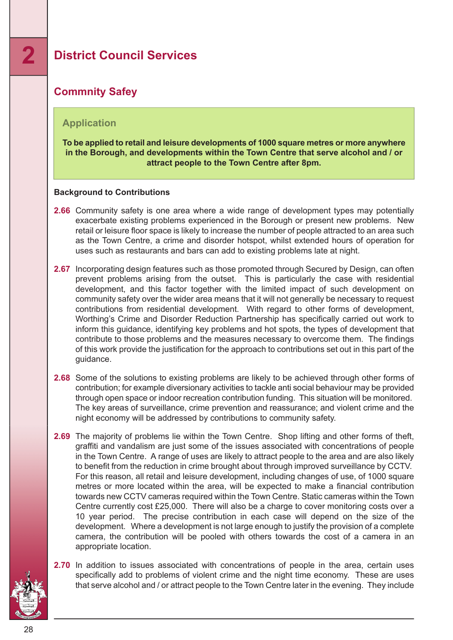#### <span id="page-27-0"></span>**Commnity Safey**

#### **Application**

**To be applied to retail and leisure developments of 1000 square metres or more anywhere in the Borough, and developments within the Town Centre that serve alcohol and / or attract people to the Town Centre after 8pm.**

#### **Background to Contributions**

- **2.66** Community safety is one area where a wide range of development types may potentially exacerbate existing problems experienced in the Borough or present new problems. New retail or leisure floor space is likely to increase the number of people attracted to an area such as the Town Centre, a crime and disorder hotspot, whilst extended hours of operation for uses such as restaurants and bars can add to existing problems late at night.
- **2.67** Incorporating design features such as those promoted through Secured by Design, can often prevent problems arising from the outset. This is particularly the case with residential development, and this factor together with the limited impact of such development on community safety over the wider area means that it will not generally be necessary to request contributions from residential development. With regard to other forms of development, Worthing's Crime and Disorder Reduction Partnership has specifically carried out work to inform this guidance, identifying key problems and hot spots, the types of development that contribute to those problems and the measures necessary to overcome them. The findings of this work provide the justification for the approach to contributions set out in this part of the guidance.
- **2.68** Some of the solutions to existing problems are likely to be achieved through other forms of contribution; for example diversionary activities to tackle anti social behaviour may be provided through open space or indoor recreation contribution funding. This situation will be monitored. The key areas of surveillance, crime prevention and reassurance; and violent crime and the night economy will be addressed by contributions to community safety.
- **2.69** The majority of problems lie within the Town Centre. Shop lifting and other forms of theft, graffiti and vandalism are just some of the issues associated with concentrations of people in the Town Centre. A range of uses are likely to attract people to the area and are also likely to benefit from the reduction in crime brought about through improved surveillance by CCTV. For this reason, all retail and leisure development, including changes of use, of 1000 square metres or more located within the area, will be expected to make a financial contribution towards new CCTV cameras required within the Town Centre. Static cameras within the Town Centre currently cost £25,000. There will also be a charge to cover monitoring costs over a 10 year period. The precise contribution in each case will depend on the size of the development. Where a development is not large enough to justify the provision of a complete camera, the contribution will be pooled with others towards the cost of a camera in an appropriate location.
- **2.70** In addition to issues associated with concentrations of people in the area, certain uses specifically add to problems of violent crime and the night time economy. These are uses that serve alcohol and / or attract people to the Town Centre later in the evening. They include

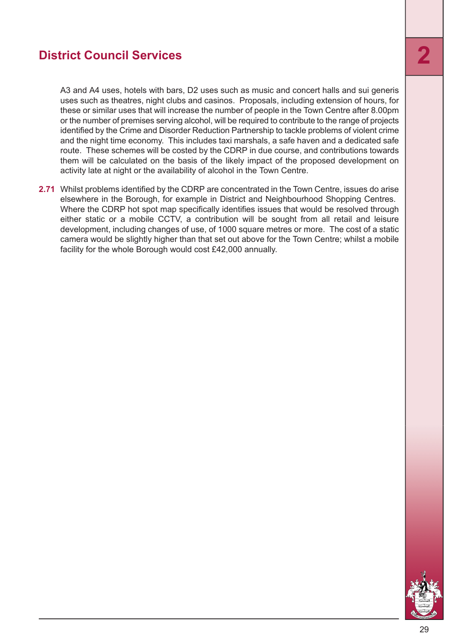A3 and A4 uses, hotels with bars, D2 uses such as music and concert halls and sui generis uses such as theatres, night clubs and casinos. Proposals, including extension of hours, for these or similar uses that will increase the number of people in the Town Centre after 8.00pm or the number of premises serving alcohol, will be required to contribute to the range of projects identified by the Crime and Disorder Reduction Partnership to tackle problems of violent crime and the night time economy. This includes taxi marshals, a safe haven and a dedicated safe route. These schemes will be costed by the CDRP in due course, and contributions towards them will be calculated on the basis of the likely impact of the proposed development on activity late at night or the availability of alcohol in the Town Centre.

**2.71** Whilst problems identified by the CDRP are concentrated in the Town Centre, issues do arise elsewhere in the Borough, for example in District and Neighbourhood Shopping Centres. Where the CDRP hot spot map specifically identifies issues that would be resolved through either static or a mobile CCTV, a contribution will be sought from all retail and leisure development, including changes of use, of 1000 square metres or more. The cost of a static camera would be slightly higher than that set out above for the Town Centre; whilst a mobile facility for the whole Borough would cost £42,000 annually.

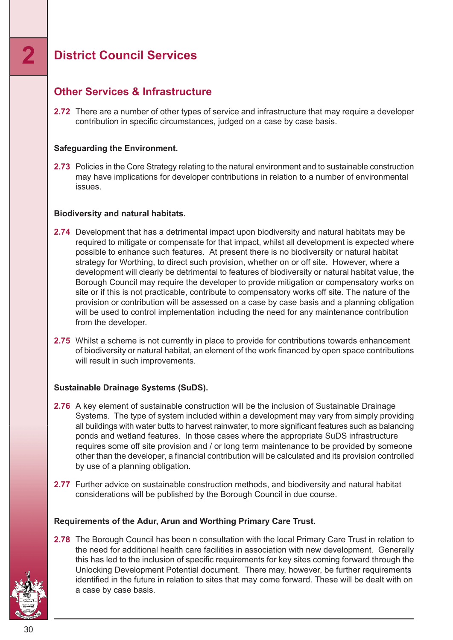#### <span id="page-29-0"></span>**Other Services & Infrastructure**

**2.72** There are a number of other types of service and infrastructure that may require a developer contribution in specific circumstances, judged on a case by case basis.

#### **Safeguarding the Environment.**

2.73 Policies in the Core Strategy relating to the natural environment and to sustainable construction may have implications for developer contributions in relation to a number of environmental issues.

#### **Biodiversity and natural habitats.**

- **2.74** Development that has a detrimental impact upon biodiversity and natural habitats may be required to mitigate or compensate for that impact, whilst all development is expected where possible to enhance such features. At present there is no biodiversity or natural habitat strategy for Worthing, to direct such provision, whether on or off site. However, where a development will clearly be detrimental to features of biodiversity or natural habitat value, the Borough Council may require the developer to provide mitigation or compensatory works on site or if this is not practicable, contribute to compensatory works off site. The nature of the provision or contribution will be assessed on a case by case basis and a planning obligation will be used to control implementation including the need for any maintenance contribution from the developer.
- **2.75** Whilst a scheme is not currently in place to provide for contributions towards enhancement of biodiversity or natural habitat, an element of the work financed by open space contributions will result in such improvements.

#### **Sustainable Drainage Systems (SuDS).**

- **2.76** A key element of sustainable construction will be the inclusion of Sustainable Drainage Systems. The type of system included within a development may vary from simply providing all buildings with water butts to harvest rainwater, to more significant features such as balancing ponds and wetland features. In those cases where the appropriate SuDS infrastructure requires some off site provision and / or long term maintenance to be provided by someone other than the developer, a financial contribution will be calculated and its provision controlled by use of a planning obligation.
- **2.77** Further advice on sustainable construction methods, and biodiversity and natural habitat considerations will be published by the Borough Council in due course.

#### **Requirements of the Adur, Arun and Worthing Primary Care Trust.**

**2.78** The Borough Council has been n consultation with the local Primary Care Trust in relation to the need for additional health care facilities in association with new development. Generally this has led to the inclusion of specific requirements for key sites coming forward through the Unlocking Development Potential document. There may, however, be further requirements identified in the future in relation to sites that may come forward. These will be dealt with on a case by case basis.

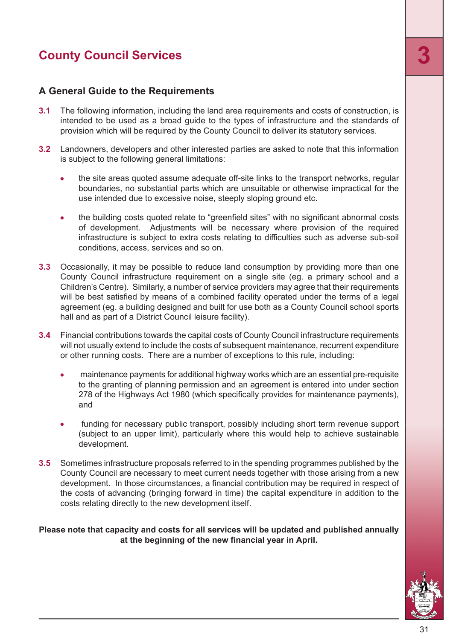#### <span id="page-30-0"></span>**A General Guide to the Requirements**

- **3.1** The following information, including the land area requirements and costs of construction, is intended to be used as a broad guide to the types of infrastructure and the standards of provision which will be required by the County Council to deliver its statutory services.
- **3.2** Landowners, developers and other interested parties are asked to note that this information is subject to the following general limitations:
	- the site areas quoted assume adequate off-site links to the transport networks, regular  $\bullet$ boundaries, no substantial parts which are unsuitable or otherwise impractical for the use intended due to excessive noise, steeply sloping ground etc.
	- the building costs quoted relate to "greenfield sites" with no significant abnormal costs of development. Adjustments will be necessary where provision of the required infrastructure is subject to extra costs relating to difficulties such as adverse sub-soil conditions, access, services and so on.
- **3.3** Occasionally, it may be possible to reduce land consumption by providing more than one County Council infrastructure requirement on a single site (eg. a primary school and a Children's Centre). Similarly, a number of service providers may agree that their requirements will be best satisfied by means of a combined facility operated under the terms of a legal agreement (eg. a building designed and built for use both as a County Council school sports hall and as part of a District Council leisure facility).
- **3.4** Financial contributions towards the capital costs of County Council infrastructure requirements will not usually extend to include the costs of subsequent maintenance, recurrent expenditure or other running costs. There are a number of exceptions to this rule, including:
	- maintenance payments for additional highway works which are an essential pre-requisite to the granting of planning permission and an agreement is entered into under section 278 of the Highways Act 1980 (which specifically provides for maintenance payments), and
	- funding for necessary public transport, possibly including short term revenue support (subject to an upper limit), particularly where this would help to achieve sustainable development.
- **3.5** Sometimes infrastructure proposals referred to in the spending programmes published by the County Council are necessary to meet current needs together with those arising from a new development. In those circumstances, a financial contribution may be required in respect of the costs of advancing (bringing forward in time) the capital expenditure in addition to the costs relating directly to the new development itself.

#### **Please note that capacity and costs for all services will be updated and published annually at the beginning of the new financial year in April.**

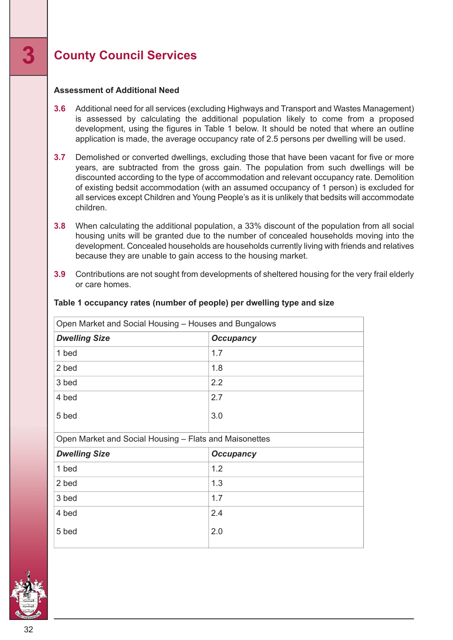#### **Assessment of Additional Need**

- **3.6** Additional need for all services (excluding Highways and Transport and Wastes Management) is assessed by calculating the additional population likely to come from a proposed development, using the figures in Table 1 below. It should be noted that where an outline application is made, the average occupancy rate of 2.5 persons per dwelling will be used.
- **3.7** Demolished or converted dwellings, excluding those that have been vacant for five or more years, are subtracted from the gross gain. The population from such dwellings will be discounted according to the type of accommodation and relevant occupancy rate. Demolition of existing bedsit accommodation (with an assumed occupancy of 1 person) is excluded for all services except Children and Young People's as it is unlikely that bedsits will accommodate children.
- **3.8** When calculating the additional population, a 33% discount of the population from all social housing units will be granted due to the number of concealed households moving into the development. Concealed households are households currently living with friends and relatives because they are unable to gain access to the housing market.
- **3.9** Contributions are not sought from developments of sheltered housing for the very frail elderly or care homes.

| Open Market and Social Housing - Houses and Bungalows  |                  |  |  |  |
|--------------------------------------------------------|------------------|--|--|--|
| <b>Dwelling Size</b>                                   | <b>Occupancy</b> |  |  |  |
| 1 bed                                                  | 1.7              |  |  |  |
| 2 bed                                                  | 1.8              |  |  |  |
| 3 bed                                                  | 2.2              |  |  |  |
| 4 bed                                                  | 2.7              |  |  |  |
| 5 bed                                                  | 3.0              |  |  |  |
| Open Market and Social Housing - Flats and Maisonettes |                  |  |  |  |
| <b>Dwelling Size</b>                                   | <b>Occupancy</b> |  |  |  |
| 1 bed                                                  | 1.2              |  |  |  |
| 2 bed                                                  | 1.3              |  |  |  |
| 3 bed                                                  | 1.7              |  |  |  |
| 4 bed                                                  | 2.4              |  |  |  |
| 5 bed                                                  | 2.0              |  |  |  |

#### **Table 1 occupancy rates (number of people) per dwelling type and size**

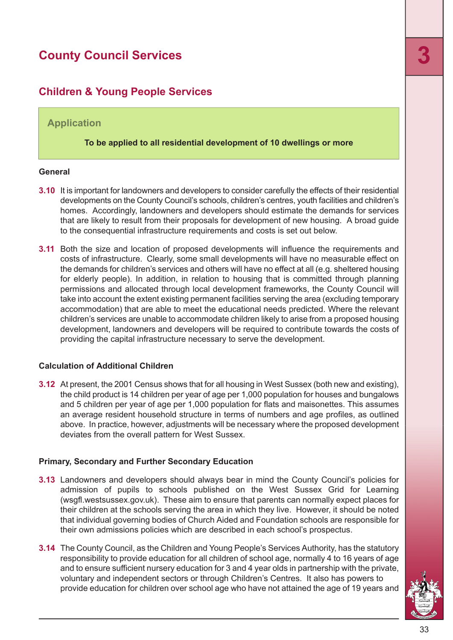#### <span id="page-32-0"></span>**Children & Young People Services**

#### **Application**

**To be applied to all residential development of 10 dwellings or more**

#### **General**

- **3.10** It is important for landowners and developers to consider carefully the effects of their residential developments on the County Council's schools, children's centres, youth facilities and children's homes. Accordingly, landowners and developers should estimate the demands for services that are likely to result from their proposals for development of new housing. A broad guide to the consequential infrastructure requirements and costs is set out below.
- **3.11** Both the size and location of proposed developments will influence the requirements and costs of infrastructure. Clearly, some small developments will have no measurable effect on the demands for children's services and others will have no effect at all (e.g. sheltered housing for elderly people). In addition, in relation to housing that is committed through planning permissions and allocated through local development frameworks, the County Council will take into account the extent existing permanent facilities serving the area (excluding temporary accommodation) that are able to meet the educational needs predicted. Where the relevant children's services are unable to accommodate children likely to arise from a proposed housing development, landowners and developers will be required to contribute towards the costs of providing the capital infrastructure necessary to serve the development.

#### **Calculation of Additional Children**

**3.12** At present, the 2001 Census shows that for all housing in West Sussex (both new and existing), the child product is 14 children per year of age per 1,000 population for houses and bungalows and 5 children per year of age per 1,000 population for flats and maisonettes. This assumes an average resident household structure in terms of numbers and age profiles, as outlined above. In practice, however, adjustments will be necessary where the proposed development deviates from the overall pattern for West Sussex.

#### **Primary, Secondary and Further Secondary Education**

- **3.13** Landowners and developers should always bear in mind the County Council's policies for admission of pupils to schools published on the West Sussex Grid for Learning (wsgfl.westsussex.gov.uk). These aim to ensure that parents can normally expect places for their children at the schools serving the area in which they live. However, it should be noted that individual governing bodies of Church Aided and Foundation schools are responsible for their own admissions policies which are described in each school's prospectus.
- **3.14** The County Council, as the Children and Young People's Services Authority, has the statutory responsibility to provide education for all children of school age, normally 4 to 16 years of age and to ensure sufficient nursery education for 3 and 4 year olds in partnership with the private, voluntary and independent sectors or through Children's Centres. It also has powers to provide education for children over school age who have not attained the age of 19 years and

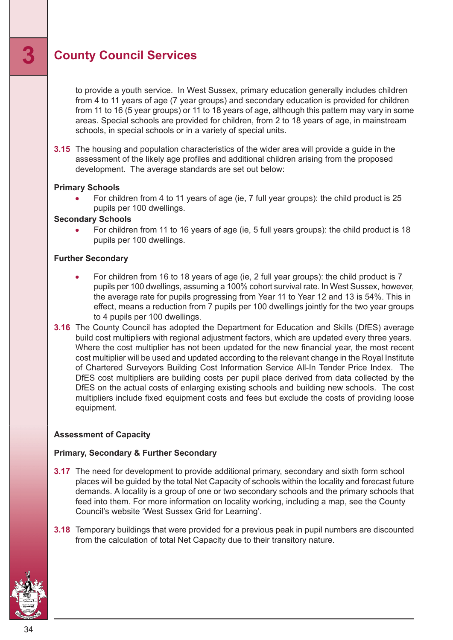to provide a youth service. In West Sussex, primary education generally includes children from 4 to 11 years of age (7 year groups) and secondary education is provided for children from 11 to 16 (5 year groups) or 11 to 18 years of age, although this pattern may vary in some areas. Special schools are provided for children, from 2 to 18 years of age, in mainstream schools, in special schools or in a variety of special units.

**3.15** The housing and population characteristics of the wider area will provide a guide in the assessment of the likely age profiles and additional children arising from the proposed development. The average standards are set out below:

#### **Primary Schools**

For children from 4 to 11 years of age (ie, 7 full year groups): the child product is 25 pupils per 100 dwellings.

#### **Secondary Schools**

For children from 11 to 16 years of age (ie, 5 full years groups): the child product is 18 pupils per 100 dwellings.

#### **Further Secondary**

- For children from 16 to 18 years of age (ie, 2 full year groups): the child product is 7 pupils per 100 dwellings, assuming a 100% cohort survival rate. In West Sussex, however, the average rate for pupils progressing from Year 11 to Year 12 and 13 is 54%. This in effect, means a reduction from 7 pupils per 100 dwellings jointly for the two year groups to 4 pupils per 100 dwellings.
- **3.16** The County Council has adopted the Department for Education and Skills (DfES) average build cost multipliers with regional adjustment factors, which are updated every three years. Where the cost multiplier has not been updated for the new financial year, the most recent cost multiplier will be used and updated according to the relevant change in the Royal Institute of Chartered Surveyors Building Cost Information Service All-In Tender Price Index. The DfES cost multipliers are building costs per pupil place derived from data collected by the DfES on the actual costs of enlarging existing schools and building new schools. The cost multipliers include fixed equipment costs and fees but exclude the costs of providing loose equipment.

#### **Assessment of Capacity**

#### **Primary, Secondary & Further Secondary**

- **3.17** The need for development to provide additional primary, secondary and sixth form school places will be guided by the total Net Capacity of schools within the locality and forecast future demands. A locality is a group of one or two secondary schools and the primary schools that feed into them. For more information on locality working, including a map, see the County Council's website 'West Sussex Grid for Learning'.
- **3.18** Temporary buildings that were provided for a previous peak in pupil numbers are discounted from the calculation of total Net Capacity due to their transitory nature.

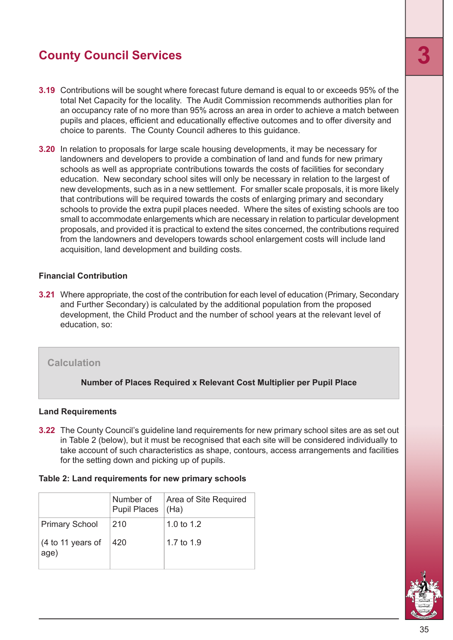- **3.19** Contributions will be sought where forecast future demand is equal to or exceeds 95% of the total Net Capacity for the locality. The Audit Commission recommends authorities plan for an occupancy rate of no more than 95% across an area in order to achieve a match between pupils and places, efficient and educationally effective outcomes and to offer diversity and choice to parents. The County Council adheres to this guidance.
- **3.20** In relation to proposals for large scale housing developments, it may be necessary for landowners and developers to provide a combination of land and funds for new primary schools as well as appropriate contributions towards the costs of facilities for secondary education. New secondary school sites will only be necessary in relation to the largest of new developments, such as in a new settlement. For smaller scale proposals, it is more likely that contributions will be required towards the costs of enlarging primary and secondary schools to provide the extra pupil places needed. Where the sites of existing schools are too small to accommodate enlargements which are necessary in relation to particular development proposals, and provided it is practical to extend the sites concerned, the contributions required from the landowners and developers towards school enlargement costs will include land acquisition, land development and building costs.

#### **Financial Contribution**

**3.21** Where appropriate, the cost of the contribution for each level of education (Primary, Secondary and Further Secondary) is calculated by the additional population from the proposed development, the Child Product and the number of school years at the relevant level of education, so:

#### **Calculation**

**Number of Places Required x Relevant Cost Multiplier per Pupil Place**

#### **Land Requirements**

**3.22** The County Council's guideline land requirements for new primary school sites are as set out in Table 2 (below), but it must be recognised that each site will be considered individually to take account of such characteristics as shape, contours, access arrangements and facilities for the setting down and picking up of pupils.

#### **Table 2: Land requirements for new primary schools**

|                           | Number of<br><b>Pupil Places</b> | Area of Site Required<br>(Ha) |
|---------------------------|----------------------------------|-------------------------------|
| <b>Primary School</b>     | 210                              | 1.0 to $1.2$                  |
| (4 to 11 years of<br>age) | 420                              | 1.7 to 1.9                    |

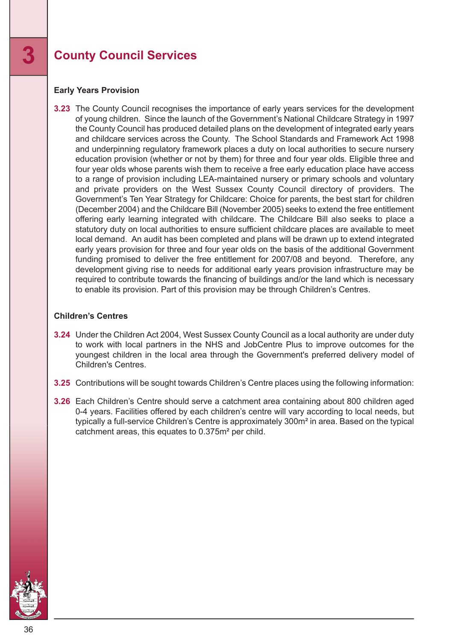#### **Early Years Provision**

**3.23** The County Council recognises the importance of early years services for the development of young children. Since the launch of the Government's National Childcare Strategy in 1997 the County Council has produced detailed plans on the development of integrated early years and childcare services across the County. The School Standards and Framework Act 1998 and underpinning regulatory framework places a duty on local authorities to secure nursery education provision (whether or not by them) for three and four year olds. Eligible three and four year olds whose parents wish them to receive a free early education place have access to a range of provision including LEA-maintained nursery or primary schools and voluntary and private providers on the West Sussex County Council directory of providers. The Government's Ten Year Strategy for Childcare: Choice for parents, the best start for children (December 2004) and the Childcare Bill (November 2005) seeks to extend the free entitlement offering early learning integrated with childcare. The Childcare Bill also seeks to place a statutory duty on local authorities to ensure sufficient childcare places are available to meet local demand. An audit has been completed and plans will be drawn up to extend integrated early years provision for three and four year olds on the basis of the additional Government funding promised to deliver the free entitlement for 2007/08 and beyond. Therefore, any development giving rise to needs for additional early years provision infrastructure may be required to contribute towards the financing of buildings and/or the land which is necessary to enable its provision. Part of this provision may be through Children's Centres.

#### **Children's Centres**

- **3.24** Under the Children Act 2004, West Sussex County Council as a local authority are under duty to work with local partners in the NHS and JobCentre Plus to improve outcomes for the youngest children in the local area through the Government's preferred delivery model of Children's Centres.
- **3.25** Contributions will be sought towards Children's Centre places using the following information:
- **3.26** Each Children's Centre should serve a catchment area containing about 800 children aged 0-4 years. Facilities offered by each children's centre will vary according to local needs, but typically a full-service Children's Centre is approximately 300m² in area. Based on the typical catchment areas, this equates to 0.375m² per child.

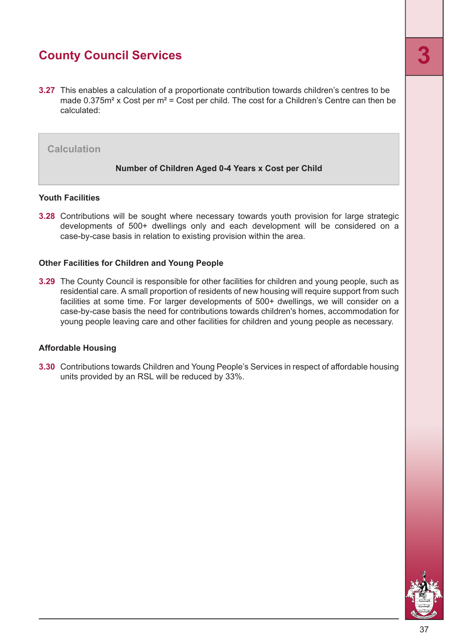**3.27** This enables a calculation of a proportionate contribution towards children's centres to be made  $0.375m^2$  x Cost per  $m^2$  = Cost per child. The cost for a Children's Centre can then be calculated:

#### **Calculation**

#### **Number of Children Aged 0-4 Years x Cost per Child**

#### **Youth Facilities**

**3.28** Contributions will be sought where necessary towards youth provision for large strategic developments of 500+ dwellings only and each development will be considered on a case-by-case basis in relation to existing provision within the area.

#### **Other Facilities for Children and Young People**

**3.29** The County Council is responsible for other facilities for children and young people, such as residential care. A small proportion of residents of new housing will require support from such facilities at some time. For larger developments of 500+ dwellings, we will consider on a case-by-case basis the need for contributions towards children's homes, accommodation for young people leaving care and other facilities for children and young people as necessary.

#### **Affordable Housing**

**3.30** Contributions towards Children and Young People's Services in respect of affordable housing units provided by an RSL will be reduced by 33%.

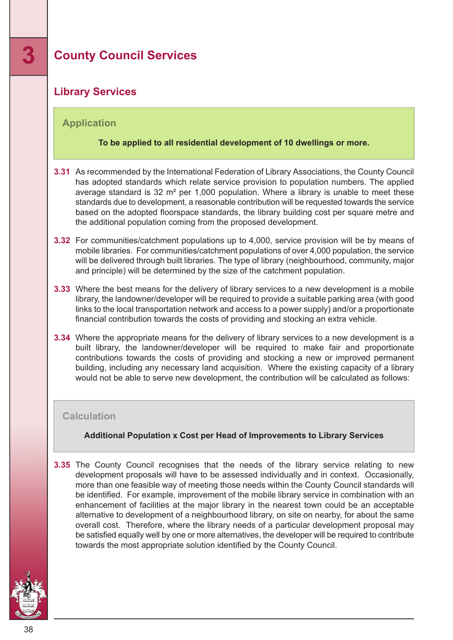#### <span id="page-37-0"></span>**Library Services**

#### **Application**

#### **To be applied to all residential development of 10 dwellings or more.**

- **3.31** As recommended by the International Federation of Library Associations, the County Council has adopted standards which relate service provision to population numbers. The applied average standard is 32 m² per 1,000 population. Where a library is unable to meet these standards due to development, a reasonable contribution will be requested towards the service based on the adopted floorspace standards, the library building cost per square metre and the additional population coming from the proposed development.
- **3.32** For communities/catchment populations up to 4,000, service provision will be by means of mobile libraries. For communities/catchment populations of over 4,000 population, the service will be delivered through built libraries. The type of library (neighbourhood, community, major and principle) will be determined by the size of the catchment population.
- **3.33** Where the best means for the delivery of library services to a new development is a mobile library, the landowner/developer will be required to provide a suitable parking area (with good links to the local transportation network and access to a power supply) and/or a proportionate financial contribution towards the costs of providing and stocking an extra vehicle.
- **3.34** Where the appropriate means for the delivery of library services to a new development is a built library, the landowner/developer will be required to make fair and proportionate contributions towards the costs of providing and stocking a new or improved permanent building, including any necessary land acquisition. Where the existing capacity of a library would not be able to serve new development, the contribution will be calculated as follows:

#### **Calculation**

#### **Additional Population x Cost per Head of Improvements to Library Services**

**3.35** The County Council recognises that the needs of the library service relating to new development proposals will have to be assessed individually and in context. Occasionally, more than one feasible way of meeting those needs within the County Council standards will be identified. For example, improvement of the mobile library service in combination with an enhancement of facilities at the major library in the nearest town could be an acceptable alternative to development of a neighbourhood library, on site on nearby, for about the same overall cost. Therefore, where the library needs of a particular development proposal may be satisfied equally well by one or more alternatives, the developer will be required to contribute towards the most appropriate solution identified by the County Council.

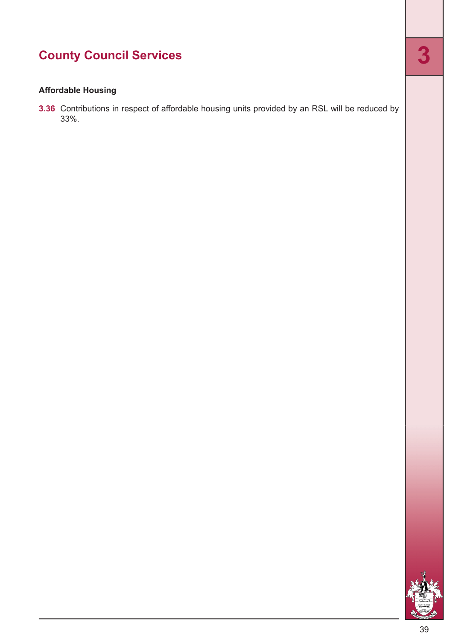#### **Affordable Housing**

**3.36** Contributions in respect of affordable housing units provided by an RSL will be reduced by 33%.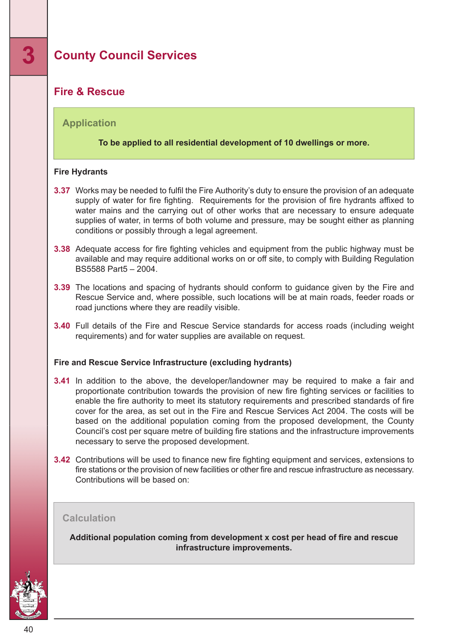#### <span id="page-39-0"></span>**Fire & Rescue**

#### **Application**

#### **To be applied to all residential development of 10 dwellings or more.**

#### **Fire Hydrants**

- **3.37** Works may be needed to fulfil the Fire Authority's duty to ensure the provision of an adequate supply of water for fire fighting. Requirements for the provision of fire hydrants affixed to water mains and the carrying out of other works that are necessary to ensure adequate supplies of water, in terms of both volume and pressure, may be sought either as planning conditions or possibly through a legal agreement.
- **3.38** Adequate access for fire fighting vehicles and equipment from the public highway must be available and may require additional works on or off site, to comply with Building Regulation BS5588 Part5 – 2004.
- **3.39** The locations and spacing of hydrants should conform to guidance given by the Fire and Rescue Service and, where possible, such locations will be at main roads, feeder roads or road junctions where they are readily visible.
- **3.40** Full details of the Fire and Rescue Service standards for access roads (including weight requirements) and for water supplies are available on request.

#### **Fire and Rescue Service Infrastructure (excluding hydrants)**

- **3.41** In addition to the above, the developer/landowner may be required to make a fair and proportionate contribution towards the provision of new fire fighting services or facilities to enable the fire authority to meet its statutory requirements and prescribed standards of fire cover for the area, as set out in the Fire and Rescue Services Act 2004. The costs will be based on the additional population coming from the proposed development, the County Council's cost per square metre of building fire stations and the infrastructure improvements necessary to serve the proposed development.
- **3.42** Contributions will be used to finance new fire fighting equipment and services, extensions to fire stations or the provision of new facilities or other fire and rescue infrastructure as necessary. Contributions will be based on:

#### **Calculation**

**Additional population coming from development x cost per head of fire and rescue infrastructure improvements.**

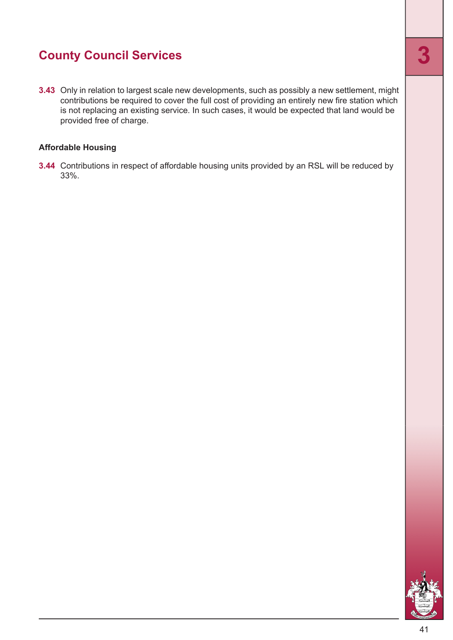**3.43** Only in relation to largest scale new developments, such as possibly a new settlement, might contributions be required to cover the full cost of providing an entirely new fire station which is not replacing an existing service. In such cases, it would be expected that land would be provided free of charge.

#### **Affordable Housing**

**3.44** Contributions in respect of affordable housing units provided by an RSL will be reduced by 33%.

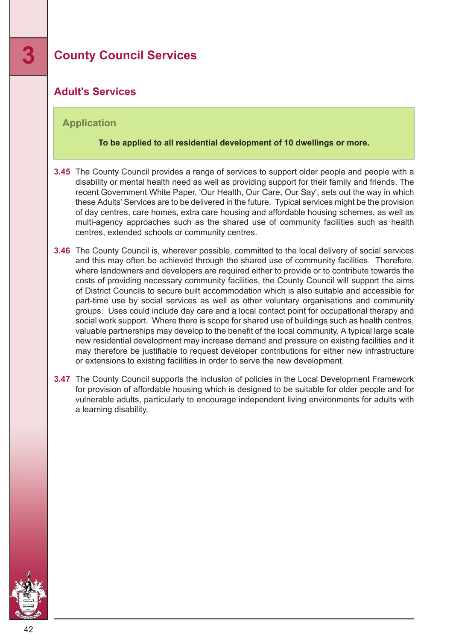#### <span id="page-41-0"></span>**Adult's Services**

#### **Application**

#### **To be applied to all residential development of 10 dwellings or more.**

- **3.45** The County Council provides a range of services to support older people and people with a disability or mental health need as well as providing support for their family and friends. The recent Government White Paper, 'Our Health, Our Care, Our Say', sets out the way in which these Adults' Services are to be delivered in the future. Typical services might be the provision of day centres, care homes, extra care housing and affordable housing schemes, as well as multi-agency approaches such as the shared use of community facilities such as health centres, extended schools or community centres.
- **3.46** The County Council is, wherever possible, committed to the local delivery of social services and this may often be achieved through the shared use of community facilities. Therefore, where landowners and developers are required either to provide or to contribute towards the costs of providing necessary community facilities, the County Council will support the aims of District Councils to secure built accommodation which is also suitable and accessible for part-time use by social services as well as other voluntary organisations and community groups. Uses could include day care and a local contact point for occupational therapy and social work support. Where there is scope for shared use of buildings such as health centres, valuable partnerships may develop to the benefit of the local community. A typical large scale new residential development may increase demand and pressure on existing facilities and it may therefore be justifiable to request developer contributions for either new infrastructure or extensions to existing facilities in order to serve the new development.
- **3.47** The County Council supports the inclusion of policies in the Local Development Framework for provision of affordable housing which is designed to be suitable for older people and for vulnerable adults, particularly to encourage independent living environments for adults with a learning disability.

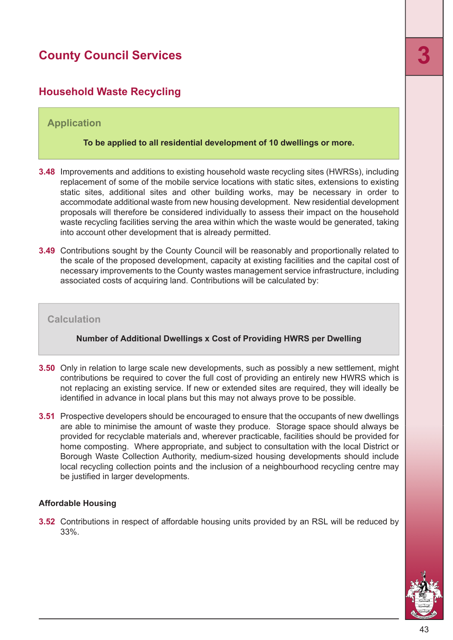#### <span id="page-42-0"></span>**Household Waste Recycling**

#### **Application**

#### **To be applied to all residential development of 10 dwellings or more.**

- **3.48** Improvements and additions to existing household waste recycling sites (HWRSs), including replacement of some of the mobile service locations with static sites, extensions to existing static sites, additional sites and other building works, may be necessary in order to accommodate additional waste from new housing development. New residential development proposals will therefore be considered individually to assess their impact on the household waste recycling facilities serving the area within which the waste would be generated, taking into account other development that is already permitted.
- **3.49** Contributions sought by the County Council will be reasonably and proportionally related to the scale of the proposed development, capacity at existing facilities and the capital cost of necessary improvements to the County wastes management service infrastructure, including associated costs of acquiring land. Contributions will be calculated by:

#### **Calculation**

#### **Number of Additional Dwellings x Cost of Providing HWRS per Dwelling**

- **3.50** Only in relation to large scale new developments, such as possibly a new settlement, might contributions be required to cover the full cost of providing an entirely new HWRS which is not replacing an existing service. If new or extended sites are required, they will ideally be identified in advance in local plans but this may not always prove to be possible.
- **3.51** Prospective developers should be encouraged to ensure that the occupants of new dwellings are able to minimise the amount of waste they produce. Storage space should always be provided for recyclable materials and, wherever practicable, facilities should be provided for home composting. Where appropriate, and subject to consultation with the local District or Borough Waste Collection Authority, medium-sized housing developments should include local recycling collection points and the inclusion of a neighbourhood recycling centre may be justified in larger developments.

#### **Affordable Housing**

**3.52** Contributions in respect of affordable housing units provided by an RSL will be reduced by 33%.

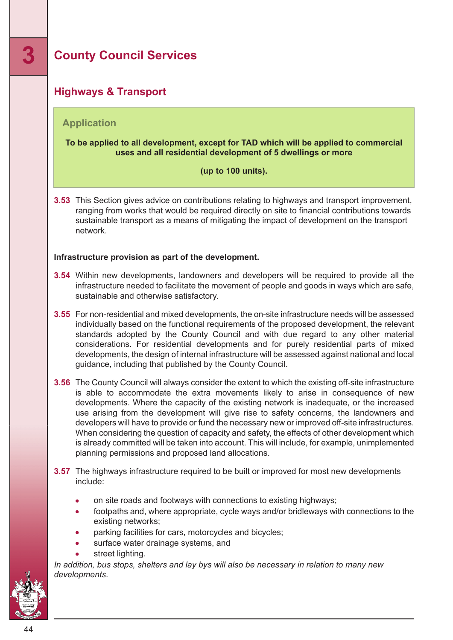### <span id="page-43-0"></span>**Highways & Transport**

#### **Application**

#### **To be applied to all development, except for TAD which will be applied to commercial uses and all residential development of 5 dwellings or more**

#### **(up to 100 units).**

**3.53** This Section gives advice on contributions relating to highways and transport improvement, ranging from works that would be required directly on site to financial contributions towards sustainable transport as a means of mitigating the impact of development on the transport network.

#### **Infrastructure provision as part of the development.**

- **3.54** Within new developments, landowners and developers will be required to provide all the infrastructure needed to facilitate the movement of people and goods in ways which are safe, sustainable and otherwise satisfactory.
- **3.55** For non-residential and mixed developments, the on-site infrastructure needs will be assessed individually based on the functional requirements of the proposed development, the relevant standards adopted by the County Council and with due regard to any other material considerations. For residential developments and for purely residential parts of mixed developments, the design of internal infrastructure will be assessed against national and local guidance, including that published by the County Council.
- **3.56** The County Council will always consider the extent to which the existing off-site infrastructure is able to accommodate the extra movements likely to arise in consequence of new developments. Where the capacity of the existing network is inadequate, or the increased use arising from the development will give rise to safety concerns, the landowners and developers will have to provide or fund the necessary new or improved off-site infrastructures. When considering the question of capacity and safety, the effects of other development which is already committed will be taken into account. This will include, for example, unimplemented planning permissions and proposed land allocations.
- **3.57** The highways infrastructure required to be built or improved for most new developments include:
	- on site roads and footways with connections to existing highways;
	- footpaths and, where appropriate, cycle ways and/or bridleways with connections to the existing networks;
	- parking facilities for cars, motorcycles and bicycles;
	- surface water drainage systems, and
	- street lighting.

*In addition, bus stops, shelters and lay bys will also be necessary in relation to many new developments.*

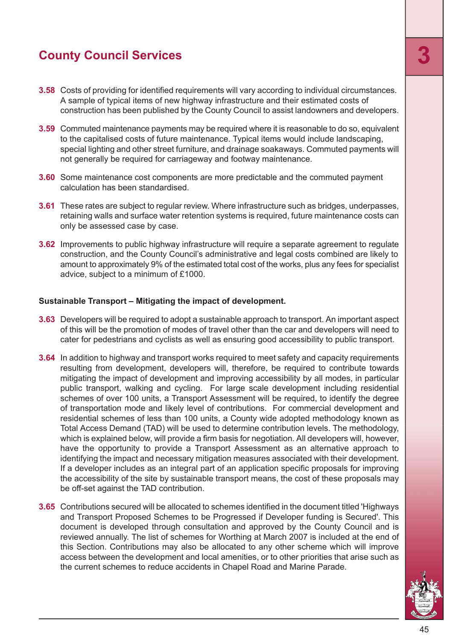- **3.58** Costs of providing for identified requirements will vary according to individual circumstances. A sample of typical items of new highway infrastructure and their estimated costs of construction has been published by the County Council to assist landowners and developers.
- **3.59** Commuted maintenance payments may be required where it is reasonable to do so, equivalent to the capitalised costs of future maintenance. Typical items would include landscaping, special lighting and other street furniture, and drainage soakaways. Commuted payments will not generally be required for carriageway and footway maintenance.
- **3.60** Some maintenance cost components are more predictable and the commuted payment calculation has been standardised.
- **3.61** These rates are subject to regular review. Where infrastructure such as bridges, underpasses, retaining walls and surface water retention systems is required, future maintenance costs can only be assessed case by case.
- **3.62** Improvements to public highway infrastructure will require a separate agreement to regulate construction, and the County Council's administrative and legal costs combined are likely to amount to approximately 9% of the estimated total cost of the works, plus any fees for specialist advice, subject to a minimum of £1000.

#### **Sustainable Transport – Mitigating the impact of development.**

- **3.63** Developers will be required to adopt a sustainable approach to transport. An important aspect of this will be the promotion of modes of travel other than the car and developers will need to cater for pedestrians and cyclists as well as ensuring good accessibility to public transport.
- **3.64** In addition to highway and transport works required to meet safety and capacity requirements resulting from development, developers will, therefore, be required to contribute towards mitigating the impact of development and improving accessibility by all modes, in particular public transport, walking and cycling. For large scale development including residential schemes of over 100 units, a Transport Assessment will be required, to identify the degree of transportation mode and likely level of contributions. For commercial development and residential schemes of less than 100 units, a County wide adopted methodology known as Total Access Demand (TAD) will be used to determine contribution levels. The methodology, which is explained below, will provide a firm basis for negotiation. All developers will, however, have the opportunity to provide a Transport Assessment as an alternative approach to identifying the impact and necessary mitigation measures associated with their development. If a developer includes as an integral part of an application specific proposals for improving the accessibility of the site by sustainable transport means, the cost of these proposals may be off-set against the TAD contribution.
- **3.65** Contributions secured will be allocated to schemes identified in the document titled 'Highways and Transport Proposed Schemes to be Progressed if Developer funding is Secured'. This document is developed through consultation and approved by the County Council and is reviewed annually. The list of schemes for Worthing at March 2007 is included at the end of this Section. Contributions may also be allocated to any other scheme which will improve access between the development and local amenities, or to other priorities that arise such as the current schemes to reduce accidents in Chapel Road and Marine Parade.

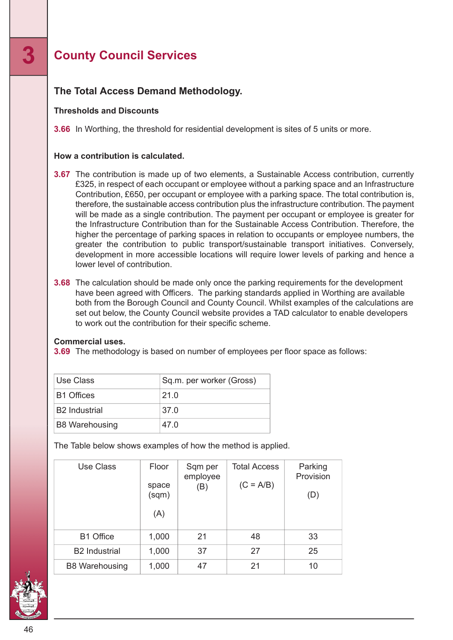### **The Total Access Demand Methodology.**

#### **Thresholds and Discounts**

**3.66** In Worthing, the threshold for residential development is sites of 5 units or more.

#### **How a contribution is calculated.**

- **3.67** The contribution is made up of two elements, a Sustainable Access contribution, currently £325, in respect of each occupant or employee without a parking space and an Infrastructure Contribution, £650, per occupant or employee with a parking space. The total contribution is, therefore, the sustainable access contribution plus the infrastructure contribution. The payment will be made as a single contribution. The payment per occupant or employee is greater for the Infrastructure Contribution than for the Sustainable Access Contribution. Therefore, the higher the percentage of parking spaces in relation to occupants or employee numbers, the greater the contribution to public transport/sustainable transport initiatives. Conversely, development in more accessible locations will require lower levels of parking and hence a lower level of contribution.
- **3.68** The calculation should be made only once the parking requirements for the development have been agreed with Officers. The parking standards applied in Worthing are available both from the Borough Council and County Council. Whilst examples of the calculations are set out below, the County Council website provides a TAD calculator to enable developers to work out the contribution for their specific scheme.

#### **Commercial uses.**

**3.69** The methodology is based on number of employees per floor space as follows:

| Use Class             | Sq.m. per worker (Gross) |
|-----------------------|--------------------------|
| <b>B1 Offices</b>     | 21.0                     |
| <b>B2</b> Industrial  | 37.0                     |
| <b>B8 Warehousing</b> | 47.0                     |

The Table below shows examples of how the method is applied.

| Use Class             | Floor<br>space<br>(sqm)<br>(A) | Sqm per<br>employee<br>(B) | <b>Total Access</b><br>$(C = A/B)$ | Parking<br>Provision<br>(D) |
|-----------------------|--------------------------------|----------------------------|------------------------------------|-----------------------------|
| <b>B1 Office</b>      | 1,000                          | 21                         | 48                                 | 33                          |
| <b>B2</b> Industrial  | 1,000                          | 37                         | 27                                 | 25                          |
| <b>B8 Warehousing</b> | 1,000                          | 47                         | 21                                 | 10                          |

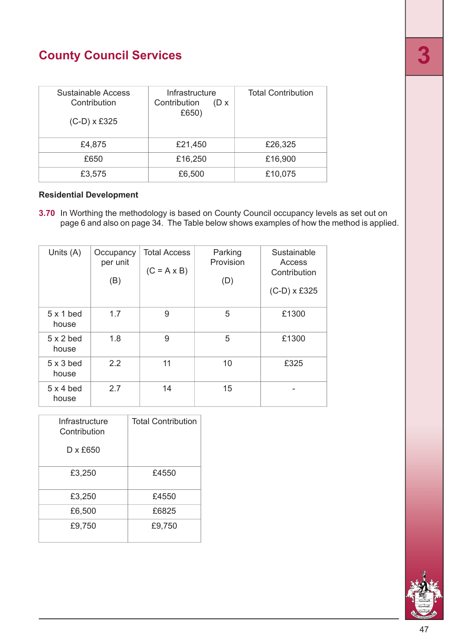| Sustainable Access<br>Contribution<br>$(C-D) \times £325$ | Infrastructure<br>Contribution<br>$(D \times$<br>£650) | <b>Total Contribution</b> |
|-----------------------------------------------------------|--------------------------------------------------------|---------------------------|
| £4,875                                                    | £21,450                                                | £26,325                   |
| £650                                                      | £16,250                                                | £16,900                   |
| £3,575                                                    | £6,500                                                 | £10,075                   |

#### **Residential Development**

**3.70** In Worthing the methodology is based on County Council occupancy levels as set out on page 6 and also on page 34. The Table below shows examples of how the method is applied.

| Units (A)                 | Occupancy<br>per unit<br>(B) | <b>Total Access</b><br>$(C = A \times B)$ | Parking<br>Provision<br>(D) | Sustainable<br>Access<br>Contribution<br>$(C-D) \times £325$ |
|---------------------------|------------------------------|-------------------------------------------|-----------------------------|--------------------------------------------------------------|
| $5 \times 1$ bed<br>house | 1.7                          | 9                                         | 5                           | £1300                                                        |
| $5 \times 2$ bed<br>house | 1.8                          | 9                                         | 5                           | £1300                                                        |
| $5 \times 3$ bed<br>house | 2.2                          | 11                                        | 10                          | £325                                                         |
| $5 \times 4$ bed<br>house | 2.7                          | 14                                        | 15                          |                                                              |

| Infrastructure<br>Contribution | <b>Total Contribution</b> |
|--------------------------------|---------------------------|
| D x £650                       |                           |
| £3,250                         | £4550                     |
| £3,250                         | £4550                     |
| £6,500                         | £6825                     |
| £9,750                         | £9,750                    |

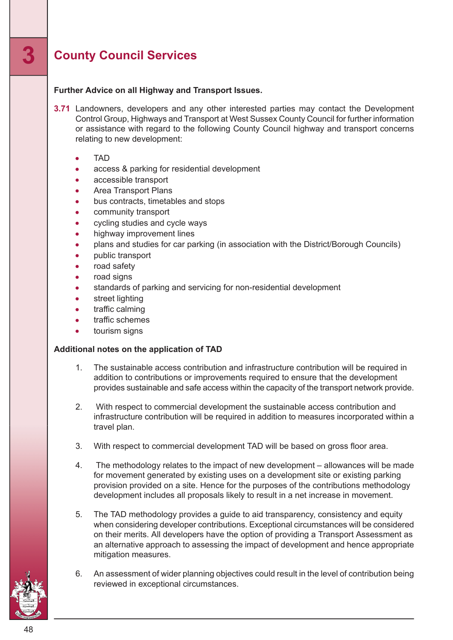#### **Further Advice on all Highway and Transport Issues.**

- **3.71** Landowners, developers and any other interested parties may contact the Development Control Group, Highways and Transport at West Sussex County Council for further information or assistance with regard to the following County Council highway and transport concerns relating to new development:
	- TAD
	- access & parking for residential development
	- accessible transport
	- Area Transport Plans
	- bus contracts, timetables and stops
	- community transport
	- cycling studies and cycle ways
	- highway improvement lines
	- plans and studies for car parking (in association with the District/Borough Councils)  $\bullet$
	- public transport
	- road safety
	- road signs
	- standards of parking and servicing for non-residential development
	- street lighting
	- traffic calming
	- traffic schemes
	- tourism signs

#### **Additional notes on the application of TAD**

- 1. The sustainable access contribution and infrastructure contribution will be required in addition to contributions or improvements required to ensure that the development provides sustainable and safe access within the capacity of the transport network provide.
- 2. With respect to commercial development the sustainable access contribution and infrastructure contribution will be required in addition to measures incorporated within a travel plan.
- 3. With respect to commercial development TAD will be based on gross floor area.
- 4. The methodology relates to the impact of new development allowances will be made for movement generated by existing uses on a development site or existing parking provision provided on a site. Hence for the purposes of the contributions methodology development includes all proposals likely to result in a net increase in movement.
- 5. The TAD methodology provides a guide to aid transparency, consistency and equity when considering developer contributions. Exceptional circumstances will be considered on their merits. All developers have the option of providing a Transport Assessment as an alternative approach to assessing the impact of development and hence appropriate mitigation measures.
- 6. An assessment of wider planning objectives could result in the level of contribution being reviewed in exceptional circumstances.



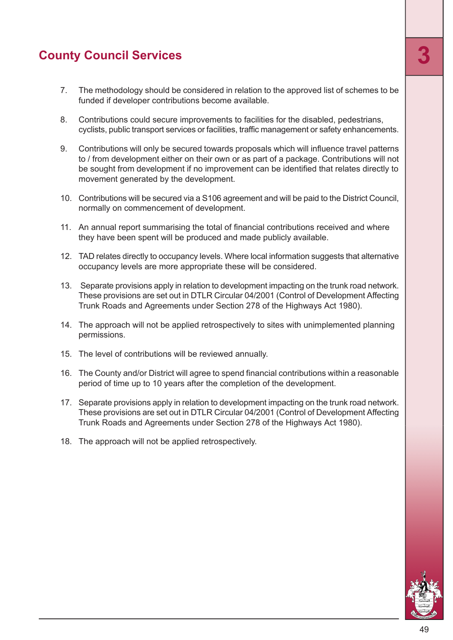- 7. The methodology should be considered in relation to the approved list of schemes to be funded if developer contributions become available.
- 8. Contributions could secure improvements to facilities for the disabled, pedestrians, cyclists, public transport services or facilities, traffic management or safety enhancements.
- 9. Contributions will only be secured towards proposals which will influence travel patterns to / from development either on their own or as part of a package. Contributions will not be sought from development if no improvement can be identified that relates directly to movement generated by the development.
- 10. Contributions will be secured via a S106 agreement and will be paid to the District Council, normally on commencement of development.
- 11. An annual report summarising the total of financial contributions received and where they have been spent will be produced and made publicly available.
- 12. TAD relates directly to occupancy levels. Where local information suggests that alternative occupancy levels are more appropriate these will be considered.
- 13. Separate provisions apply in relation to development impacting on the trunk road network. These provisions are set out in DTLR Circular 04/2001 (Control of Development Affecting Trunk Roads and Agreements under Section 278 of the Highways Act 1980).
- 14. The approach will not be applied retrospectively to sites with unimplemented planning permissions.
- 15. The level of contributions will be reviewed annually.
- 16. The County and/or District will agree to spend financial contributions within a reasonable period of time up to 10 years after the completion of the development.
- 17. Separate provisions apply in relation to development impacting on the trunk road network. These provisions are set out in DTLR Circular 04/2001 (Control of Development Affecting Trunk Roads and Agreements under Section 278 of the Highways Act 1980).
- 18. The approach will not be applied retrospectively.

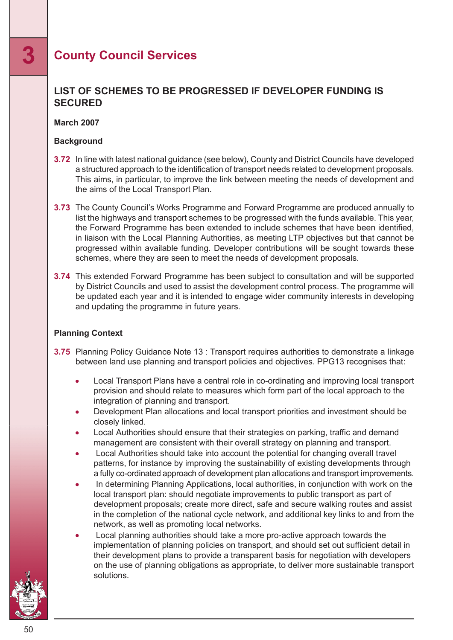#### **LIST OF SCHEMES TO BE PROGRESSED IF DEVELOPER FUNDING IS SECURED**

#### **March 2007**

#### **Background**

- **3.72** In line with latest national guidance (see below), County and District Councils have developed a structured approach to the identification of transport needs related to development proposals. This aims, in particular, to improve the link between meeting the needs of development and the aims of the Local Transport Plan.
- **3.73** The County Council's Works Programme and Forward Programme are produced annually to list the highways and transport schemes to be progressed with the funds available. This year, the Forward Programme has been extended to include schemes that have been identified, in liaison with the Local Planning Authorities, as meeting LTP objectives but that cannot be progressed within available funding. Developer contributions will be sought towards these schemes, where they are seen to meet the needs of development proposals.
- **3.74** This extended Forward Programme has been subject to consultation and will be supported by District Councils and used to assist the development control process. The programme will be updated each year and it is intended to engage wider community interests in developing and updating the programme in future years.

#### **Planning Context**

- **3.75** Planning Policy Guidance Note 13 : Transport requires authorities to demonstrate a linkage between land use planning and transport policies and objectives. PPG13 recognises that:
	- Local Transport Plans have a central role in co-ordinating and improving local transport  $\bullet$ provision and should relate to measures which form part of the local approach to the integration of planning and transport.
	- Development Plan allocations and local transport priorities and investment should be closely linked.
	- Local Authorities should ensure that their strategies on parking, traffic and demand management are consistent with their overall strategy on planning and transport.
	- Local Authorities should take into account the potential for changing overall travel patterns, for instance by improving the sustainability of existing developments through a fully co-ordinated approach of development plan allocations and transport improvements.
	- In determining Planning Applications, local authorities, in conjunction with work on the local transport plan: should negotiate improvements to public transport as part of development proposals; create more direct, safe and secure walking routes and assist in the completion of the national cycle network, and additional key links to and from the network, as well as promoting local networks.
	- Local planning authorities should take a more pro-active approach towards the implementation of planning policies on transport, and should set out sufficient detail in their development plans to provide a transparent basis for negotiation with developers on the use of planning obligations as appropriate, to deliver more sustainable transport solutions.

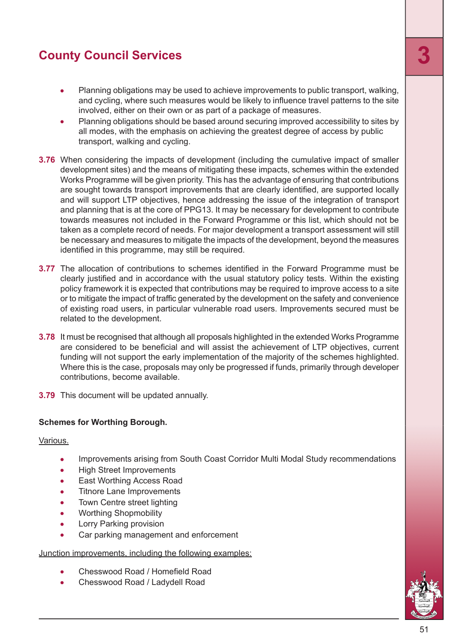- Planning obligations may be used to achieve improvements to public transport, walking, and cycling, where such measures would be likely to influence travel patterns to the site involved, either on their own or as part of a package of measures.
- Planning obligations should be based around securing improved accessibility to sites by all modes, with the emphasis on achieving the greatest degree of access by public transport, walking and cycling.
- **3.76** When considering the impacts of development (including the cumulative impact of smaller development sites) and the means of mitigating these impacts, schemes within the extended Works Programme will be given priority. This has the advantage of ensuring that contributions are sought towards transport improvements that are clearly identified, are supported locally and will support LTP objectives, hence addressing the issue of the integration of transport and planning that is at the core of PPG13. It may be necessary for development to contribute towards measures not included in the Forward Programme or this list, which should not be taken as a complete record of needs. For major development a transport assessment will still be necessary and measures to mitigate the impacts of the development, beyond the measures identified in this programme, may still be required.
- **3.77** The allocation of contributions to schemes identified in the Forward Programme must be clearly justified and in accordance with the usual statutory policy tests. Within the existing policy framework it is expected that contributions may be required to improve access to a site or to mitigate the impact of traffic generated by the development on the safety and convenience of existing road users, in particular vulnerable road users. Improvements secured must be related to the development.
- **3.78** It must be recognised that although all proposals highlighted in the extended Works Programme are considered to be beneficial and will assist the achievement of LTP objectives, current funding will not support the early implementation of the majority of the schemes highlighted. Where this is the case, proposals may only be progressed if funds, primarily through developer contributions, become available.
- **3.79** This document will be updated annually.

#### **Schemes for Worthing Borough.**

Various.

- Improvements arising from South Coast Corridor Multi Modal Study recommendations  $\bullet$
- High Street Improvements  $\bullet$
- East Worthing Access Road
- Titnore Lane Improvements  $\bullet$
- $\bullet$ Town Centre street lighting
- Worthing Shopmobility  $\bullet$
- Lorry Parking provision  $\bullet$
- Car parking management and enforcement  $\blacksquare$

#### Junction improvements, including the following examples:

- Chesswood Road / Homefield Road
- Chesswood Road / Ladydell Road

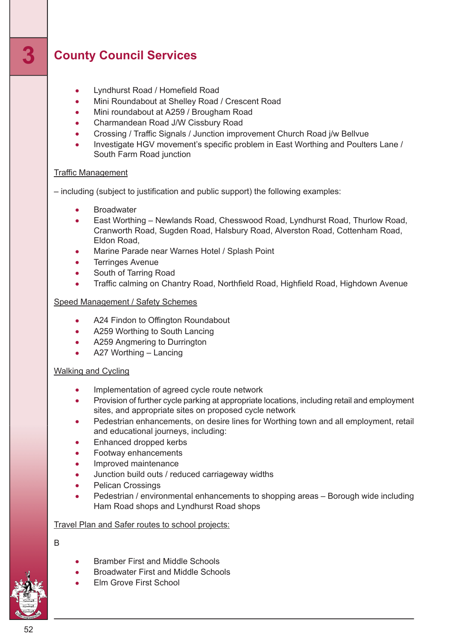- Lyndhurst Road / Homefield Road  $\bullet$
- Mini Roundabout at Shelley Road / Crescent Road
- Mini roundabout at A259 / Brougham Road
- $\bullet$ Charmandean Road J/W Cissbury Road
- Crossing / Traffic Signals / Junction improvement Church Road j/w Bellvue  $\bullet$
- Investigate HGV movement's specific problem in East Worthing and Poulters Lane /  $\bullet$ South Farm Road junction

#### Traffic Management

– including (subject to justification and public support) the following examples:

- **Broadwater**  $\bullet$
- East Worthing Newlands Road, Chesswood Road, Lyndhurst Road, Thurlow Road, Cranworth Road, Sugden Road, Halsbury Road, Alverston Road, Cottenham Road, Eldon Road,
- Marine Parade near Warnes Hotel / Splash Point
- Terringes Avenue
- South of Tarring Road
- Traffic calming on Chantry Road, Northfield Road, Highfield Road, Highdown Avenue

#### Speed Management / Safety Schemes

- A24 Findon to Offington Roundabout
- A259 Worthing to South Lancing
- A259 Angmering to Durrington
- A27 Worthing Lancing  $\blacksquare$

#### Walking and Cycling

- Implementation of agreed cycle route network  $\bullet$
- Provision of further cycle parking at appropriate locations, including retail and employment  $\bullet$ sites, and appropriate sites on proposed cycle network
- Pedestrian enhancements, on desire lines for Worthing town and all employment, retail and educational journeys, including:
- Enhanced dropped kerbs
- Footway enhancements
- Improved maintenance
- Junction build outs / reduced carriageway widths
- Pelican Crossings  $\bullet$
- $\bullet$ Pedestrian / environmental enhancements to shopping areas – Borough wide including Ham Road shops and Lyndhurst Road shops

#### Travel Plan and Safer routes to school projects:

#### B

- Bramber First and Middle Schools
- Broadwater First and Middle Schools
- Elm Grove First School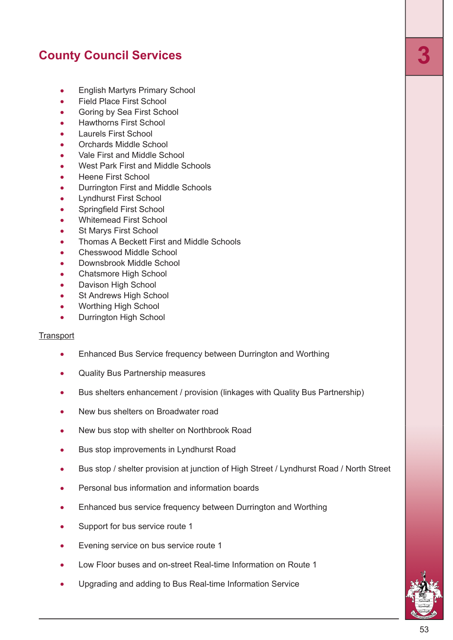- English Martyrs Primary School  $\bullet$
- Field Place First School  $\bullet$
- Goring by Sea First School  $\bullet$
- Hawthorns First School  $\bullet$
- Laurels First School  $\bullet$
- Orchards Middle School ä
- Vale First and Middle School  $\bullet$
- West Park First and Middle Schools
- Heene First School
- Durrington First and Middle Schools
- Lyndhurst First School
- Springfield First School  $\bullet$
- Whitemead First School  $\bullet$
- St Marys First School  $\bullet$
- Thomas A Beckett First and Middle Schools
- Chesswood Middle School  $\bullet$
- Downsbrook Middle School  $\bullet$
- Chatsmore High School Ä
- Davison High School  $\bullet$
- $\bullet$ St Andrews High School
- Worthing High School  $\bullet$
- Durrington High School  $\blacksquare$

#### **Transport**

- $\bullet$ Enhanced Bus Service frequency between Durrington and Worthing
- Quality Bus Partnership measures
- Bus shelters enhancement / provision (linkages with Quality Bus Partnership)  $\bullet$
- New bus shelters on Broadwater road
- New bus stop with shelter on Northbrook Road  $\bullet$
- Bus stop improvements in Lyndhurst Road  $\bullet$
- Bus stop / shelter provision at junction of High Street / Lyndhurst Road / North Street
- Personal bus information and information boards
- Enhanced bus service frequency between Durrington and Worthing
- Support for bus service route 1  $\bullet$
- Evening service on bus service route 1  $\bullet$
- Low Floor buses and on-street Real-time Information on Route 1
- Upgrading and adding to Bus Real-time Information Service

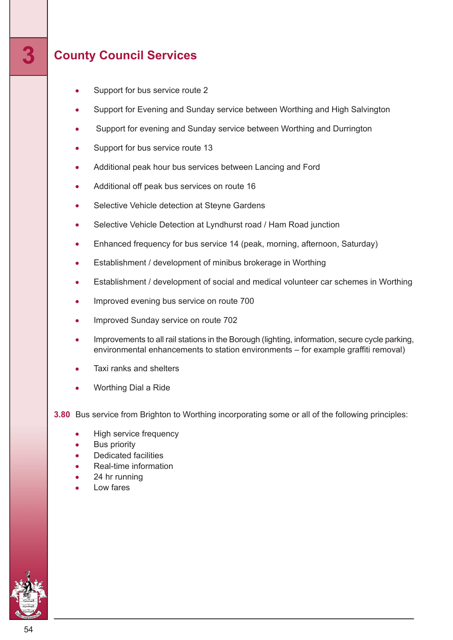- Support for bus service route 2  $\bullet$
- Support for Evening and Sunday service between Worthing and High Salvington
- Support for evening and Sunday service between Worthing and Durrington
- Support for bus service route 13
- Additional peak hour bus services between Lancing and Ford
- Additional off peak bus services on route 16
- Selective Vehicle detection at Steyne Gardens
- Selective Vehicle Detection at Lyndhurst road / Ham Road junction  $\bullet$
- Enhanced frequency for bus service 14 (peak, morning, afternoon, Saturday)  $\bullet$
- Establishment / development of minibus brokerage in Worthing  $\bullet$
- Establishment / development of social and medical volunteer car schemes in Worthing
- Improved evening bus service on route 700
- Improved Sunday service on route 702
- Improvements to all rail stations in the Borough (lighting, information, secure cycle parking, environmental enhancements to station environments – for example graffiti removal)
- Taxi ranks and shelters
- Worthing Dial a Ride

**3.80** Bus service from Brighton to Worthing incorporating some or all of the following principles:

- High service frequency
- Bus priority
- Dedicated facilities
- Real-time information
- 24 hr running
- Low fares

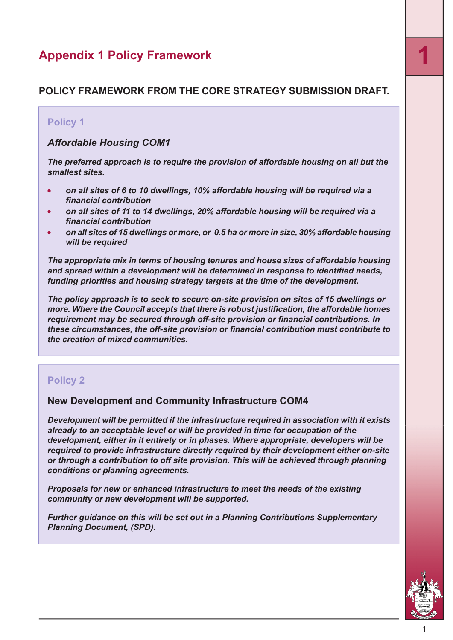### **Appendix <sup>1</sup> Policy Framework 1**

#### <span id="page-54-0"></span>**POLICY FRAMEWORK FROM THE CORE STRATEGY SUBMISSION DRAFT.**

#### **Policy 1**

#### *Affordable Housing COM1*

*The preferred approach is to require the provision of affordable housing on all but the smallest sites.*

- *on all sites of 6 to 10 dwellings, 10% affordable housing will be required via a financial contribution*
- *on all sites of 11 to 14 dwellings, 20% affordable housing will be required via a financial contribution*
- *on all sites of 15 dwellings or more, or 0.5 ha or more in size, 30% affordable housing will be required*

*The appropriate mix in terms of housing tenures and house sizes of affordable housing and spread within a development will be determined in response to identified needs, funding priorities and housing strategy targets at the time of the development.*

*The policy approach is to seek to secure on-site provision on sites of 15 dwellings or more. Where the Council accepts that there is robust justification, the affordable homes requirement may be secured through off-site provision or financial contributions. In these circumstances, the off-site provision or financial contribution must contribute to the creation of mixed communities.*

#### **Policy 2**

#### **New Development and Community Infrastructure COM4**

*Development will be permitted if the infrastructure required in association with it exists already to an acceptable level or will be provided in time for occupation of the development, either in it entirety or in phases. Where appropriate, developers will be required to provide infrastructure directly required by their development either on-site or through a contribution to off site provision. This will be achieved through planning conditions or planning agreements.*

*Proposals for new or enhanced infrastructure to meet the needs of the existing community or new development will be supported.*

*Further guidance on this will be set out in a Planning Contributions Supplementary Planning Document, (SPD).*

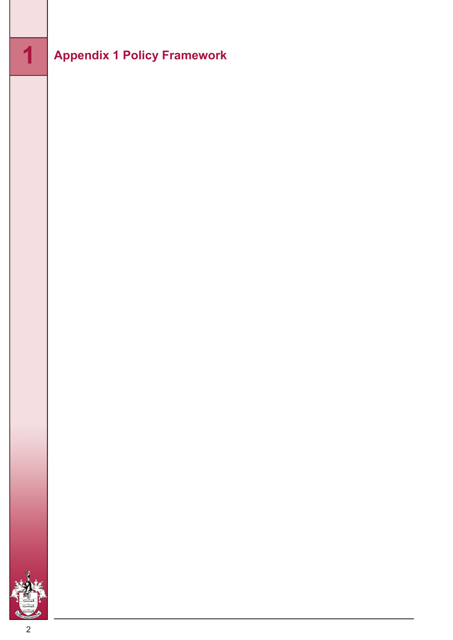# **Appendix <sup>1</sup> Policy Framework**

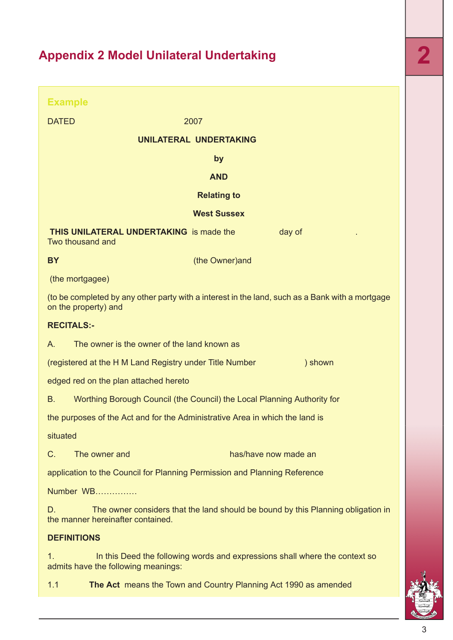|              | <b>Example</b>                                                                                                          |
|--------------|-------------------------------------------------------------------------------------------------------------------------|
| <b>DATED</b> | 2007                                                                                                                    |
|              | UNILATERAL UNDERTAKING                                                                                                  |
|              | by                                                                                                                      |
|              | <b>AND</b>                                                                                                              |
|              | <b>Relating to</b>                                                                                                      |
|              | <b>West Sussex</b>                                                                                                      |
|              | <b>THIS UNILATERAL UNDERTAKING</b> is made the<br>day of<br>Two thousand and                                            |
| <b>BY</b>    | (the Owner) and                                                                                                         |
|              | (the mortgagee)                                                                                                         |
|              | (to be completed by any other party with a interest in the land, such as a Bank with a mortgage<br>on the property) and |
|              | <b>RECITALS:-</b>                                                                                                       |
| А.           | The owner is the owner of the land known as                                                                             |
|              | (registered at the H M Land Registry under Title Number<br>) shown                                                      |
|              | edged red on the plan attached hereto                                                                                   |
| В.           | Worthing Borough Council (the Council) the Local Planning Authority for                                                 |
|              | the purposes of the Act and for the Administrative Area in which the land is                                            |
| situated     |                                                                                                                         |
| C.           | The owner and<br>has/have now made an                                                                                   |
|              | application to the Council for Planning Permission and Planning Reference                                               |
|              | Number WB                                                                                                               |
| D.           | The owner considers that the land should be bound by this Planning obligation in<br>the manner hereinafter contained.   |
|              | <b>DEFINITIONS</b>                                                                                                      |
| 1.           | In this Deed the following words and expressions shall where the context so<br>admits have the following meanings:      |
| 1.1          | The Act means the Town and Country Planning Act 1990 as amended                                                         |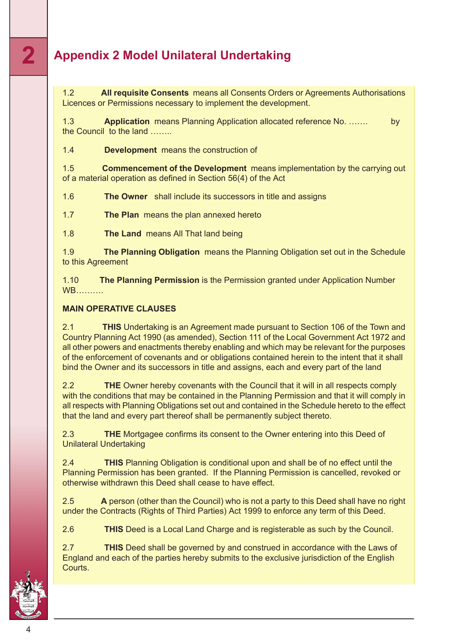1.2 **All requisite Consents** means all Consents Orders or Agreements Authorisations Licences or Permissions necessary to implement the development.

1.3 **Application** means Planning Application allocated reference No. ……. by the Council to the land ……..

1.4 **Development** means the construction of

1.5 **Commencement of the Development** means implementation by the carrying out of a material operation as defined in Section 56(4) of the Act

1.6 **The Owner** shall include its successors in title and assigns

1.7 **The Plan** means the plan annexed hereto

1.8 **The Land** means All That land being

1.9 **The Planning Obligation** means the Planning Obligation set out in the Schedule to this Agreement

1.10 **The Planning Permission** is the Permission granted under Application Number WB……….

#### **MAIN OPERATIVE CLAUSES**

2.1 **THIS** Undertaking is an Agreement made pursuant to Section 106 of the Town and Country Planning Act 1990 (as amended), Section 111 of the Local Government Act 1972 and all other powers and enactments thereby enabling and which may be relevant for the purposes of the enforcement of covenants and or obligations contained herein to the intent that it shall bind the Owner and its successors in title and assigns, each and every part of the land

2.2 **THE** Owner hereby covenants with the Council that it will in all respects comply with the conditions that may be contained in the Planning Permission and that it will comply in all respects with Planning Obligations set out and contained in the Schedule hereto to the effect that the land and every part thereof shall be permanently subject thereto.

2.3 **THE** Mortgagee confirms its consent to the Owner entering into this Deed of Unilateral Undertaking

2.4 **THIS** Planning Obligation is conditional upon and shall be of no effect until the Planning Permission has been granted. If the Planning Permission is cancelled, revoked or otherwise withdrawn this Deed shall cease to have effect.

2.5 **A** person (other than the Council) who is not a party to this Deed shall have no right under the Contracts (Rights of Third Parties) Act 1999 to enforce any term of this Deed.

2.6 **THIS** Deed is a Local Land Charge and is registerable as such by the Council.

2.7 **THIS** Deed shall be governed by and construed in accordance with the Laws of England and each of the parties hereby submits to the exclusive jurisdiction of the English Courts.

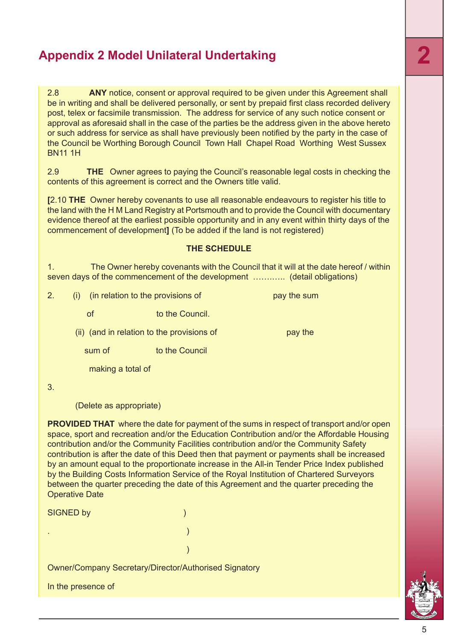2.8 **ANY** notice, consent or approval required to be given under this Agreement shall be in writing and shall be delivered personally, or sent by prepaid first class recorded delivery post, telex or facsimile transmission. The address for service of any such notice consent or approval as aforesaid shall in the case of the parties be the address given in the above hereto or such address for service as shall have previously been notified by the party in the case of the Council be Worthing Borough Council Town Hall Chapel Road Worthing West Sussex BN11 1H

2.9 **THE** Owner agrees to paying the Council's reasonable legal costs in checking the contents of this agreement is correct and the Owners title valid.

**[**2.10 **THE** Owner hereby covenants to use all reasonable endeavours to register his title to the land with the H M Land Registry at Portsmouth and to provide the Council with documentary evidence thereof at the earliest possible opportunity and in any event within thirty days of the commencement of development**]** (To be added if the land is not registered)

#### **THE SCHEDULE**

1. The Owner hereby covenants with the Council that it will at the date hereof / within seven days of the commencement of the development ............. (detail obligations)

2. (i) (in relation to the provisions of pay the sum

of to the Council.

 $(ii)$  (and in relation to the provisions of pay the

sum of to the Council

making a total of

3.

(Delete as appropriate)

**PROVIDED THAT** where the date for payment of the sums in respect of transport and/or open space, sport and recreation and/or the Education Contribution and/or the Affordable Housing contribution and/or the Community Facilities contribution and/or the Community Safety contribution is after the date of this Deed then that payment or payments shall be increased by an amount equal to the proportionate increase in the All-in Tender Price Index published by the Building Costs Information Service of the Royal Institution of Chartered Surveyors between the quarter preceding the date of this Agreement and the quarter preceding the Operative Date

| <b>SIGNED by</b>   |                                                              |
|--------------------|--------------------------------------------------------------|
|                    |                                                              |
|                    |                                                              |
|                    | <b>Owner/Company Secretary/Director/Authorised Signatory</b> |
| In the presence of |                                                              |



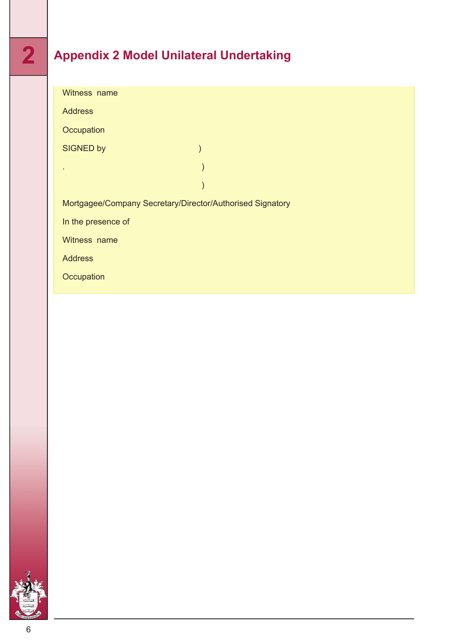| Witness name                                              |               |  |  |  |
|-----------------------------------------------------------|---------------|--|--|--|
| <b>Address</b>                                            |               |  |  |  |
| Occupation                                                |               |  |  |  |
| <b>SIGNED by</b>                                          | $\mathcal{E}$ |  |  |  |
|                                                           | $\mathcal{E}$ |  |  |  |
|                                                           |               |  |  |  |
| Mortgagee/Company Secretary/Director/Authorised Signatory |               |  |  |  |
| In the presence of                                        |               |  |  |  |
| Witness name                                              |               |  |  |  |
| <b>Address</b>                                            |               |  |  |  |
| Occupation                                                |               |  |  |  |
|                                                           |               |  |  |  |

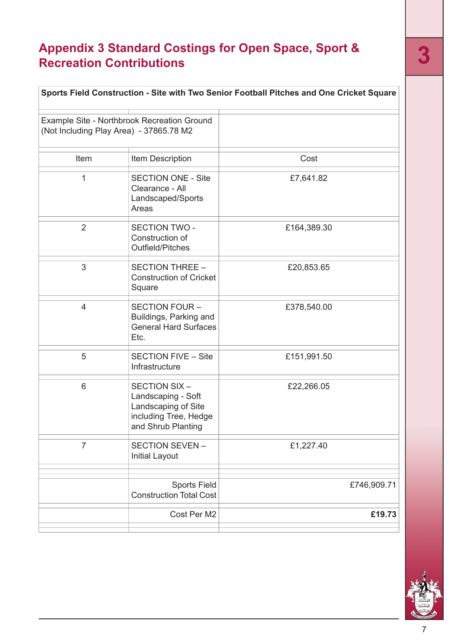# **Appendix 3 Standard Costings for Open Space, Sport & Recreation Contributions 3**

<span id="page-60-0"></span>

| Sports Field Construction - Site with Two Senior Football Pitches and One Cricket Square |                                                                                                          |             |  |  |
|------------------------------------------------------------------------------------------|----------------------------------------------------------------------------------------------------------|-------------|--|--|
| Example Site - Northbrook Recreation Ground<br>(Not Including Play Area) - 37865.78 M2   |                                                                                                          |             |  |  |
| Item                                                                                     | Item Description                                                                                         | Cost        |  |  |
| 1                                                                                        | <b>SECTION ONE - Site</b><br>Clearance - All<br>Landscaped/Sports<br>Areas                               | £7,641.82   |  |  |
| $\overline{2}$                                                                           | <b>SECTION TWO -</b><br>Construction of<br>Outfield/Pitches                                              | £164,389.30 |  |  |
| 3                                                                                        | <b>SECTION THREE -</b><br><b>Construction of Cricket</b><br>Square                                       | £20,853.65  |  |  |
| $\overline{4}$                                                                           | SECTION FOUR -<br>Buildings, Parking and<br><b>General Hard Surfaces</b><br>Etc.                         | £378,540.00 |  |  |
| 5                                                                                        | <b>SECTION FIVE - Site</b><br>Infrastructure                                                             | £151,991.50 |  |  |
| 6                                                                                        | SECTION SIX-<br>Landscaping - Soft<br>Landscaping of Site<br>including Tree, Hedge<br>and Shrub Planting | £22,266.05  |  |  |
| $\overline{7}$                                                                           | SECTION SEVEN-<br><b>Initial Layout</b>                                                                  | £1,227.40   |  |  |
|                                                                                          | <b>Sports Field</b><br><b>Construction Total Cost</b>                                                    | £746,909.71 |  |  |
|                                                                                          | Cost Per M2                                                                                              | £19.73      |  |  |
|                                                                                          |                                                                                                          |             |  |  |

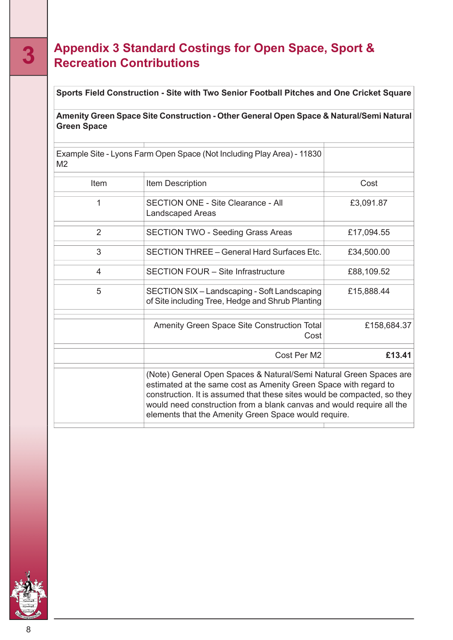### **Appendix 3 Standard Costings for Open Space, Sport & 3 Recreation Contributions**

#### **Sports Field Construction - Site with Two Senior Football Pitches and One Cricket Square**

#### **Amenity Green Space Site Construction - Other General Open Space & Natural/Semi Natural Green Space**

| Example Site - Lyons Farm Open Space (Not Including Play Area) - 11830<br>M <sub>2</sub> |                                                                                                                                                                                                                                                                                                                                                     |             |  |
|------------------------------------------------------------------------------------------|-----------------------------------------------------------------------------------------------------------------------------------------------------------------------------------------------------------------------------------------------------------------------------------------------------------------------------------------------------|-------------|--|
| Item                                                                                     | Item Description                                                                                                                                                                                                                                                                                                                                    | Cost        |  |
| 1                                                                                        | <b>SECTION ONE - Site Clearance - All</b><br><b>Landscaped Areas</b>                                                                                                                                                                                                                                                                                | £3,091.87   |  |
| $\overline{2}$                                                                           | <b>SECTION TWO - Seeding Grass Areas</b>                                                                                                                                                                                                                                                                                                            | £17,094.55  |  |
| 3                                                                                        | SECTION THREE - General Hard Surfaces Etc.                                                                                                                                                                                                                                                                                                          | £34,500.00  |  |
| 4                                                                                        | <b>SECTION FOUR - Site Infrastructure</b>                                                                                                                                                                                                                                                                                                           | £88,109.52  |  |
| 5                                                                                        | SECTION SIX – Landscaping - Soft Landscaping<br>of Site including Tree, Hedge and Shrub Planting                                                                                                                                                                                                                                                    | £15,888.44  |  |
|                                                                                          | Amenity Green Space Site Construction Total<br>Cost                                                                                                                                                                                                                                                                                                 | £158,684.37 |  |
|                                                                                          | Cost Per M2                                                                                                                                                                                                                                                                                                                                         | £13.41      |  |
|                                                                                          | (Note) General Open Spaces & Natural/Semi Natural Green Spaces are<br>estimated at the same cost as Amenity Green Space with regard to<br>construction. It is assumed that these sites would be compacted, so they<br>would need construction from a blank canvas and would require all the<br>elements that the Amenity Green Space would require. |             |  |

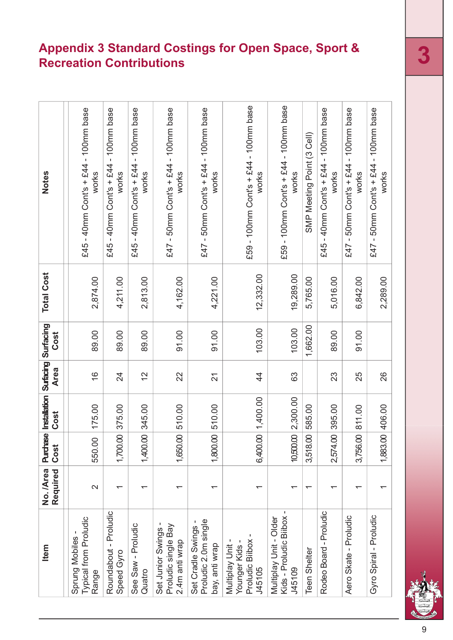# **Appendix 3 Standard Costings for Open Space, Sport & Recreation Contributions 3**

| Item                                                           | No. /Area<br>Required    | Purchase<br>Cost          | Installation Surfacing<br>Cost | <b>Area</b>    | Surfacing<br>Cost | <b>Total Cost</b> | Notes                                                 |
|----------------------------------------------------------------|--------------------------|---------------------------|--------------------------------|----------------|-------------------|-------------------|-------------------------------------------------------|
| Typical from Proludic<br>Sprung Mobiles<br>Range               | $\mathbf{\Omega}$        | 550.00                    | 175.00                         | $\frac{6}{1}$  | 89.00             | 2,874.00          | £45 - 40mm Cont's + £44 - 100mm base<br>works         |
| Roundabout - Proludic<br>Speed Gyro                            |                          | 1,700.00                  | 375.00                         | 24             | 89.00             | 4,211.00          | - 100mm base<br>$-40$ mm Cont's + £44<br>works<br>£45 |
| See Saw - Proludic<br>Quatro                                   | ᡪ                        | 1,400.00                  | 345.00                         | $\frac{2}{3}$  | 89.00             | 2,813.00          | £45 - 40mm Cont's + £44 - 100mm base<br>works         |
| Set Junior Swings -<br>Proludic single Bay<br>2.4m anti wrap   | $\overline{\phantom{0}}$ | 1,650.00                  | 510.00                         | 22             | 91.00             | 4,162.00          | £47 - 50mm Cont's + £44 - 100mm base<br>works         |
| Proludic 2.0m single<br>Set Cradle Swings<br>bay, anti wrap    | ᠇                        | 8<br>1,800.               | 510.00                         | $\overline{2}$ | 91.00             | 4,221.00          | £47 - 50mm Cont's + £44 - 100mm base<br>works         |
| Proludic Bilbox<br>Multiplay Unit -<br>Younger Kids-<br>J45105 | ٢                        | $\mathsf{S}$<br>6,400.    | 1,400.00                       | $\frac{4}{4}$  | 103.00            | 12,332.00         | £59 - 100mm Cont's + £44 - 100mm base<br>works        |
| Kids - Proludic Biibox<br>Multiplay Unit - Older<br>J45109     | ᠇                        | 10,500.00                 | 2,300.00                       | 63             | 103.00            | 19,289.00         | £59 - 100mm Cont's + £44 - 100mm base<br>works        |
| <b>Teen Shelter</b>                                            | ᡪ                        | 8<br>3,518.               | 585.00                         |                | 1,662.00          | 5,765.00          | SMP Meeting Point (3 Cell)                            |
| Rodeo Board - Proludic                                         |                          | $\overline{S}$<br>2,574.0 | 395.00                         | 23             | 89.00             | 5,016.00          | £45 - 40mm Cont's + £44 - 100mm base<br>works         |
| Aero Skate - Proludic                                          |                          | 3,756.00                  | 811.00                         | 25             | 91.00             | 6,842.00          | £47 - 50mm Cont's + £44 - 100mm base<br>works         |
| Gyro Spiral - Proludic                                         |                          | 1,883.00                  | 406.00                         | 26             |                   | 2,289.00          | £47 - 50mm Cont's + £44 - 100mm base<br>works         |

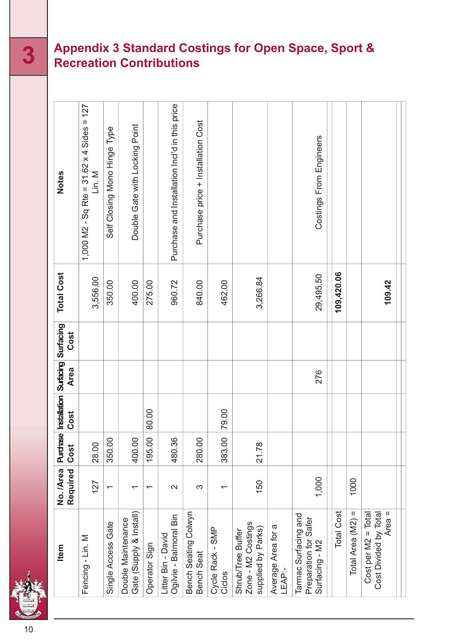### **Appendix 3 Standard Costings for Open Space, Sport & 3 Recreation Contributions**

Purchase and Installation Incl'd in this price = 127 Purchase and Installation Incl'd in this price Purchase price + Installation Cost Installation Cost Double Gate with Locking Point Double Gate with Locking Point Type 4 Sides Costings From Engineers Costings From Engineers Self Closing Mono Hinge x= 31.62 **Notes** ⋝ .<br>ت Purchase price 1,000 M2 - Sq Rte **109,420.06 Total Cost** 29,495.50 3,556.00 3,266.84 350.00 400.00 960.72 462.00 275.00 840.00 **109.42 Surfacing Cost Surfacing Area** 276 **Installation** 80.00 79.00 **Cost Purchase** 383.00 350.00 400.00 195.00 480.36 280.00 28.00 21.78 **Cost No. /Area Required** 1,000 1000 150 127  $\infty$  $\overline{\mathsf{C}}$  $\overline{a}$  $\overline{a}$  $\overline{ }$  $\overline{\phantom{0}}$ Total Cost Total Area (M2) = & Install) Bench Seating Colwyn Bench Seating Colwyn Tarmac Surfacing and Total Total  $\overline{\phantom{a}}$ Ogilvie - Balmoral Bin Tarmac Surfacing and Ogilvie - Balmoral Bin Double Maintenance Preparation for Safer Preparation for Safer Double Maintenance Total Area (M2) Area Single Access Gate Single Access Gate Zone - M2 Costings Zone - M2 Costings Average Area for a supplied by Parks) Cycle Rack - SMP Shrub/Tree Buffer supplied by Parks) Cycle Rack - SMP Shrub/Tree Buffer Litter Bin - David Average Area for Cost Divided by  $_{\rm II}$ Litter Bin - David ⋝ Surfacing - M2 Cost per M2 Operator Sign **Item** Fencing - Lin. Gate (Supply Bench Seat LEAP:- Ciclos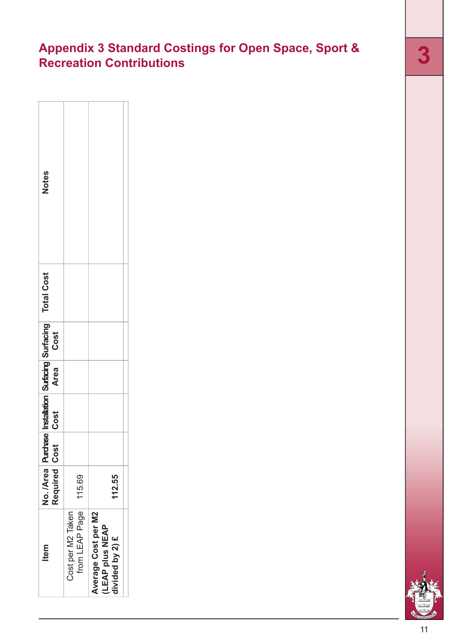# **Appendix 3 Standard Costings for Open Space, Sport & Recreation Contributions 3**

| Votes                                              |                                     |                                                                  |
|----------------------------------------------------|-------------------------------------|------------------------------------------------------------------|
| <b>Total Cost</b>                                  |                                     |                                                                  |
| Installation Surfacing Surfacing<br>Cost Area Cost |                                     |                                                                  |
|                                                    |                                     |                                                                  |
|                                                    |                                     |                                                                  |
|                                                    |                                     |                                                                  |
| No. /Area Purchase<br>Required Cost                | 115.69                              | 112.55                                                           |
| <b>Item</b>                                        | Cost per M2 Taken<br>from LEAP Page | Average Cost per M2<br><b>ILEAP plus NEAP</b><br>divided by 2) £ |